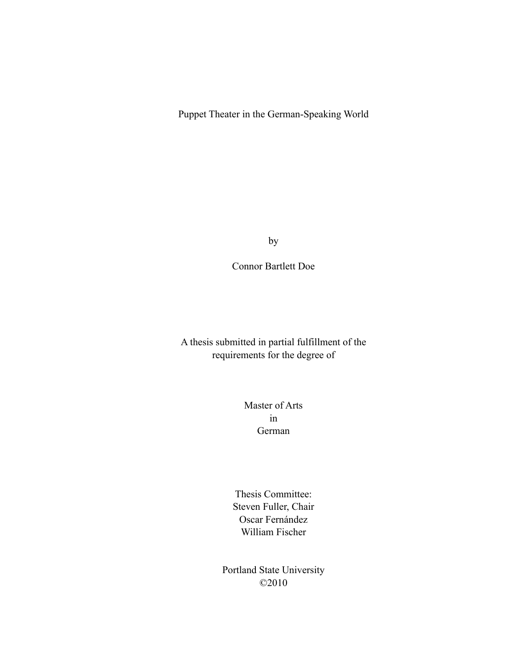Puppet Theater in the German-Speaking World

by

Connor Bartlett Doe

A thesis submitted in partial fulfillment of the requirements for the degree of

> Master of Arts in German

Thesis Committee: Steven Fuller, Chair Oscar Fernández William Fischer

Portland State University ©2010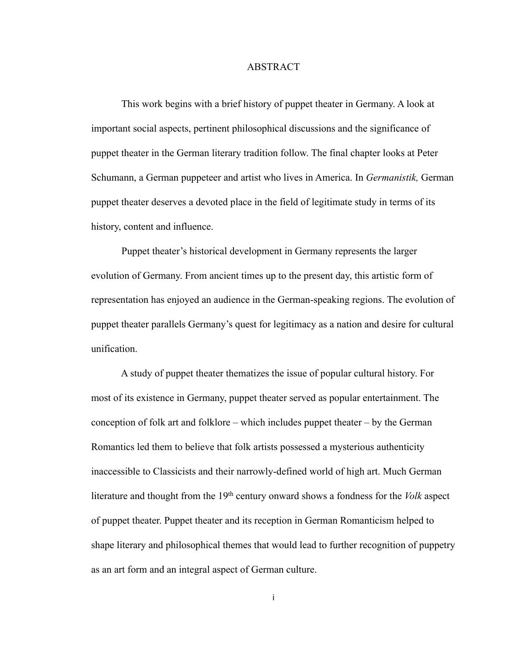#### ABSTRACT

 This work begins with a brief history of puppet theater in Germany. A look at important social aspects, pertinent philosophical discussions and the significance of puppet theater in the German literary tradition follow. The final chapter looks at Peter Schumann, a German puppeteer and artist who lives in America. In *Germanistik,* German puppet theater deserves a devoted place in the field of legitimate study in terms of its history, content and influence.

Puppet theater's historical development in Germany represents the larger evolution of Germany. From ancient times up to the present day, this artistic form of representation has enjoyed an audience in the German-speaking regions. The evolution of puppet theater parallels Germany's quest for legitimacy as a nation and desire for cultural unification.

 A study of puppet theater thematizes the issue of popular cultural history. For most of its existence in Germany, puppet theater served as popular entertainment. The conception of folk art and folklore – which includes puppet theater – by the German Romantics led them to believe that folk artists possessed a mysterious authenticity inaccessible to Classicists and their narrowly-defined world of high art. Much German literature and thought from the 19th century onward shows a fondness for the *Volk* aspect of puppet theater. Puppet theater and its reception in German Romanticism helped to shape literary and philosophical themes that would lead to further recognition of puppetry as an art form and an integral aspect of German culture.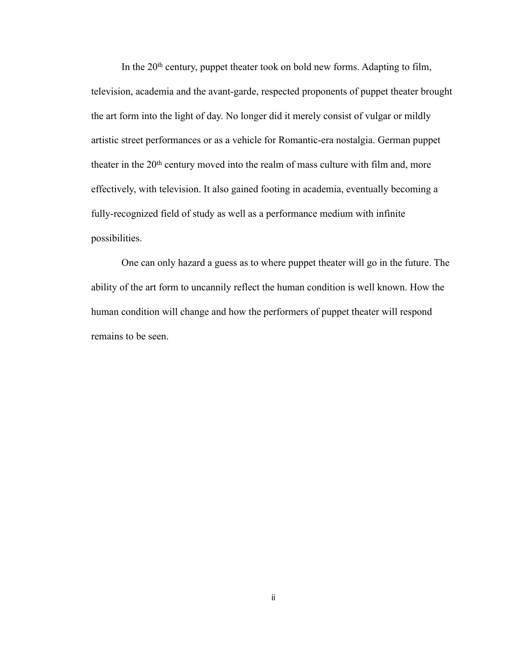In the 20<sup>th</sup> century, puppet theater took on bold new forms. Adapting to film, television, academia and the avant-garde, respected proponents of puppet theater brought the art form into the light of day. No longer did it merely consist of vulgar or mildly artistic street performances or as a vehicle for Romantic-era nostalgia. German puppet theater in the 20th century moved into the realm of mass culture with film and, more effectively, with television. It also gained footing in academia, eventually becoming a fully-recognized field of study as well as a performance medium with infinite possibilities.

 One can only hazard a guess as to where puppet theater will go in the future. The ability of the art form to uncannily reflect the human condition is well known. How the human condition will change and how the performers of puppet theater will respond remains to be seen.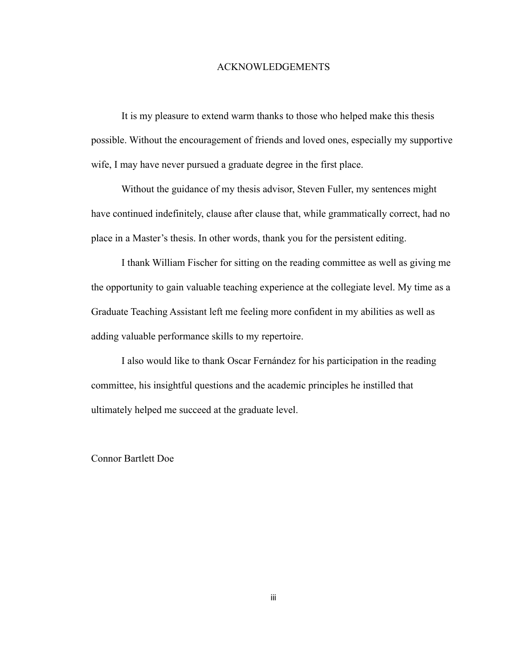#### ACKNOWLEDGEMENTS

 It is my pleasure to extend warm thanks to those who helped make this thesis possible. Without the encouragement of friends and loved ones, especially my supportive wife, I may have never pursued a graduate degree in the first place.

 Without the guidance of my thesis advisor, Steven Fuller, my sentences might have continued indefinitely, clause after clause that, while grammatically correct, had no place in a Master's thesis. In other words, thank you for the persistent editing.

 I thank William Fischer for sitting on the reading committee as well as giving me the opportunity to gain valuable teaching experience at the collegiate level. My time as a Graduate Teaching Assistant left me feeling more confident in my abilities as well as adding valuable performance skills to my repertoire.

 I also would like to thank Oscar Fernández for his participation in the reading committee, his insightful questions and the academic principles he instilled that ultimately helped me succeed at the graduate level.

Connor Bartlett Doe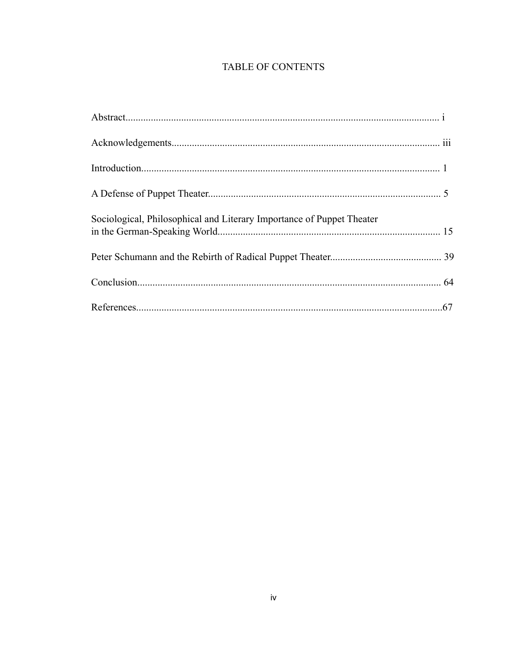## TABLE OF CONTENTS

| Sociological, Philosophical and Literary Importance of Puppet Theater |  |
|-----------------------------------------------------------------------|--|
|                                                                       |  |
|                                                                       |  |
|                                                                       |  |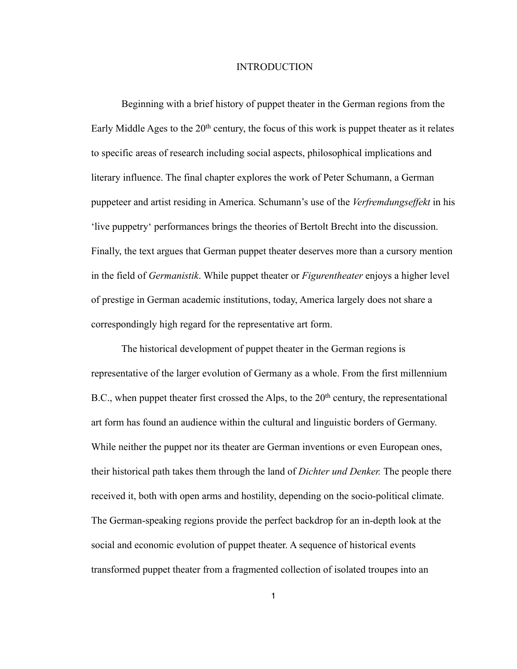#### INTRODUCTION

Beginning with a brief history of puppet theater in the German regions from the Early Middle Ages to the  $20<sup>th</sup>$  century, the focus of this work is puppet theater as it relates to specific areas of research including social aspects, philosophical implications and literary influence. The final chapter explores the work of Peter Schumann, a German puppeteer and artist residing in America. Schumann's use of the *Verfremdungseffekt* in his 'live puppetry' performances brings the theories of Bertolt Brecht into the discussion. Finally, the text argues that German puppet theater deserves more than a cursory mention in the field of *Germanistik*. While puppet theater or *Figurentheater* enjoys a higher level of prestige in German academic institutions, today, America largely does not share a correspondingly high regard for the representative art form.

The historical development of puppet theater in the German regions is representative of the larger evolution of Germany as a whole. From the first millennium B.C., when puppet theater first crossed the Alps, to the  $20<sup>th</sup>$  century, the representational art form has found an audience within the cultural and linguistic borders of Germany. While neither the puppet nor its theater are German inventions or even European ones, their historical path takes them through the land of *Dichter und Denker.* The people there received it, both with open arms and hostility, depending on the socio-political climate. The German-speaking regions provide the perfect backdrop for an in-depth look at the social and economic evolution of puppet theater. A sequence of historical events transformed puppet theater from a fragmented collection of isolated troupes into an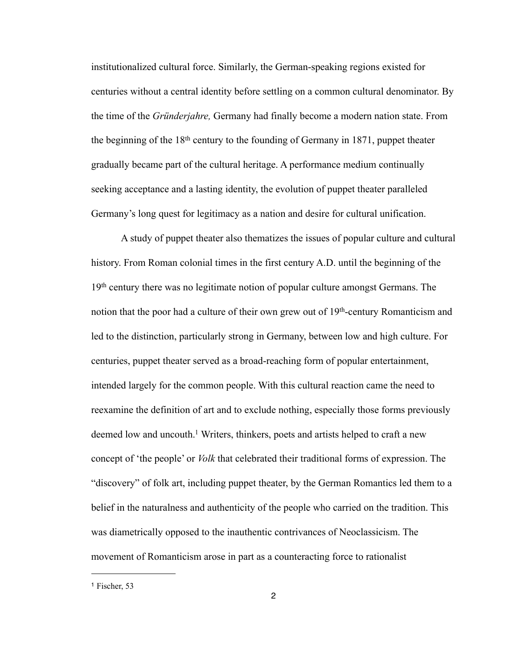institutionalized cultural force. Similarly, the German-speaking regions existed for centuries without a central identity before settling on a common cultural denominator. By the time of the *Gründerjahre,* Germany had finally become a modern nation state. From the beginning of the 18th century to the founding of Germany in 1871, puppet theater gradually became part of the cultural heritage. A performance medium continually seeking acceptance and a lasting identity, the evolution of puppet theater paralleled Germany's long quest for legitimacy as a nation and desire for cultural unification.

 A study of puppet theater also thematizes the issues of popular culture and cultural history. From Roman colonial times in the first century A.D. until the beginning of the 19th century there was no legitimate notion of popular culture amongst Germans. The notion that the poor had a culture of their own grew out of  $19<sup>th</sup>$ -century Romanticism and led to the distinction, particularly strong in Germany, between low and high culture. For centuries, puppet theater served as a broad-reaching form of popular entertainment, intended largely for the common people. With this cultural reaction came the need to reexamine the definition of art and to exclude nothing, especially those forms previously deemed low and uncouth.<sup>1</sup> Writers, thinkers, poets and artists helped to craft a new concept of 'the people' or *Volk* that celebrated their traditional forms of expression. The "discovery" of folk art, including puppet theater, by the German Romantics led them to a belief in the naturalness and authenticity of the people who carried on the tradition. This was diametrically opposed to the inauthentic contrivances of Neoclassicism. The movement of Romanticism arose in part as a counteracting force to rationalist

<span id="page-6-0"></span><sup>1</sup> Fischer, 53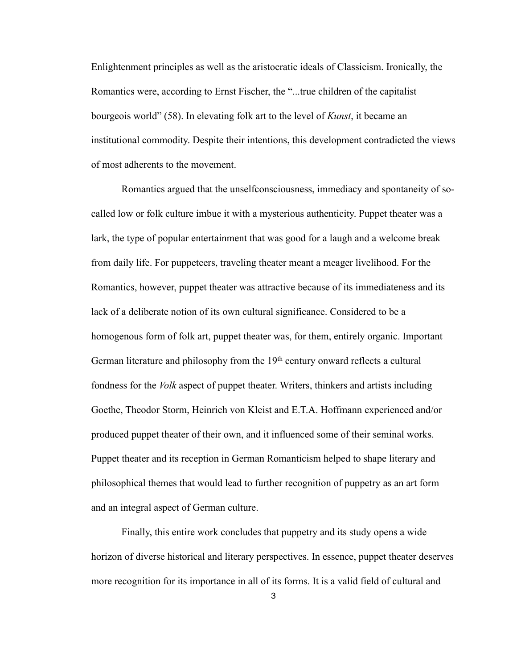Enlightenment principles as well as the aristocratic ideals of Classicism. Ironically, the Romantics were, according to Ernst Fischer, the "...true children of the capitalist bourgeois world" (58). In elevating folk art to the level of *Kunst*, it became an institutional commodity. Despite their intentions, this development contradicted the views of most adherents to the movement.

 Romantics argued that the unselfconsciousness, immediacy and spontaneity of socalled low or folk culture imbue it with a mysterious authenticity. Puppet theater was a lark, the type of popular entertainment that was good for a laugh and a welcome break from daily life. For puppeteers, traveling theater meant a meager livelihood. For the Romantics, however, puppet theater was attractive because of its immediateness and its lack of a deliberate notion of its own cultural significance. Considered to be a homogenous form of folk art, puppet theater was, for them, entirely organic. Important German literature and philosophy from the 19<sup>th</sup> century onward reflects a cultural fondness for the *Volk* aspect of puppet theater. Writers, thinkers and artists including Goethe, Theodor Storm, Heinrich von Kleist and E.T.A. Hoffmann experienced and/or produced puppet theater of their own, and it influenced some of their seminal works. Puppet theater and its reception in German Romanticism helped to shape literary and philosophical themes that would lead to further recognition of puppetry as an art form and an integral aspect of German culture.

 Finally, this entire work concludes that puppetry and its study opens a wide horizon of diverse historical and literary perspectives. In essence, puppet theater deserves more recognition for its importance in all of its forms. It is a valid field of cultural and

3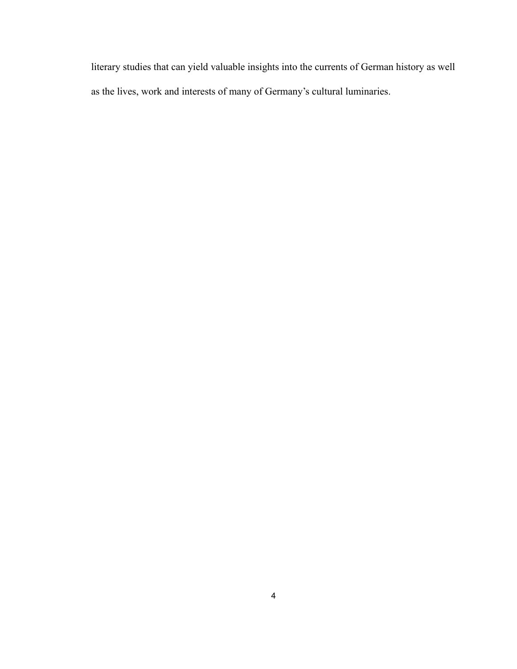literary studies that can yield valuable insights into the currents of German history as well as the lives, work and interests of many of Germany's cultural luminaries.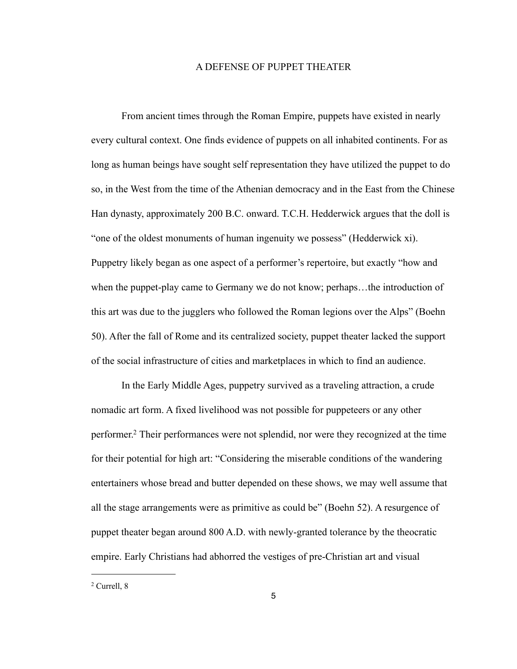#### A DEFENSE OF PUPPET THEATER

 From ancient times through the Roman Empire, puppets have existed in nearly every cultural context. One finds evidence of puppets on all inhabited continents. For as long as human beings have sought self representation they have utilized the puppet to do so, in the West from the time of the Athenian democracy and in the East from the Chinese Han dynasty, approximately 200 B.C. onward. T.C.H. Hedderwick argues that the doll is "one of the oldest monuments of human ingenuity we possess" (Hedderwick xi). Puppetry likely began as one aspect of a performer's repertoire, but exactly "how and when the puppet-play came to Germany we do not know; perhaps…the introduction of this art was due to the jugglers who followed the Roman legions over the Alps" (Boehn 50). After the fall of Rome and its centralized society, puppet theater lacked the support of the social infrastructure of cities and marketplaces in which to find an audience.

 In the Early Middle Ages, puppetry survived as a traveling attraction, a crude nomadic art form. A fixed livelihood was not possible for puppeteers or any other performer[.2](#page-9-0) Their performances were not splendid, nor were they recognized at the time for their potential for high art: "Considering the miserable conditions of the wandering entertainers whose bread and butter depended on these shows, we may well assume that all the stage arrangements were as primitive as could be" (Boehn 52). A resurgence of puppet theater began around 800 A.D. with newly-granted tolerance by the theocratic empire. Early Christians had abhorred the vestiges of pre-Christian art and visual

<span id="page-9-0"></span><sup>2</sup> Currell, 8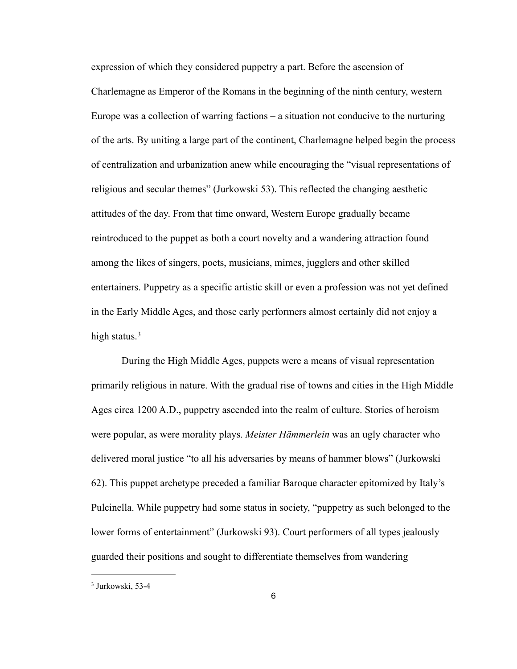expression of which they considered puppetry a part. Before the ascension of Charlemagne as Emperor of the Romans in the beginning of the ninth century, western Europe was a collection of warring factions – a situation not conducive to the nurturing of the arts. By uniting a large part of the continent, Charlemagne helped begin the process of centralization and urbanization anew while encouraging the "visual representations of religious and secular themes" (Jurkowski 53). This reflected the changing aesthetic attitudes of the day. From that time onward, Western Europe gradually became reintroduced to the puppet as both a court novelty and a wandering attraction found among the likes of singers, poets, musicians, mimes, jugglers and other skilled entertainers. Puppetry as a specific artistic skill or even a profession was not yet defined in the Early Middle Ages, and those early performers almost certainly did not enjoy a high status. $3$ 

 During the High Middle Ages, puppets were a means of visual representation primarily religious in nature. With the gradual rise of towns and cities in the High Middle Ages circa 1200 A.D., puppetry ascended into the realm of culture. Stories of heroism were popular, as were morality plays. *Meister Hämmerlein* was an ugly character who delivered moral justice "to all his adversaries by means of hammer blows" (Jurkowski 62). This puppet archetype preceded a familiar Baroque character epitomized by Italy's Pulcinella. While puppetry had some status in society, "puppetry as such belonged to the lower forms of entertainment" (Jurkowski 93). Court performers of all types jealously guarded their positions and sought to differentiate themselves from wandering

<span id="page-10-0"></span><sup>3</sup> Jurkowski, 53-4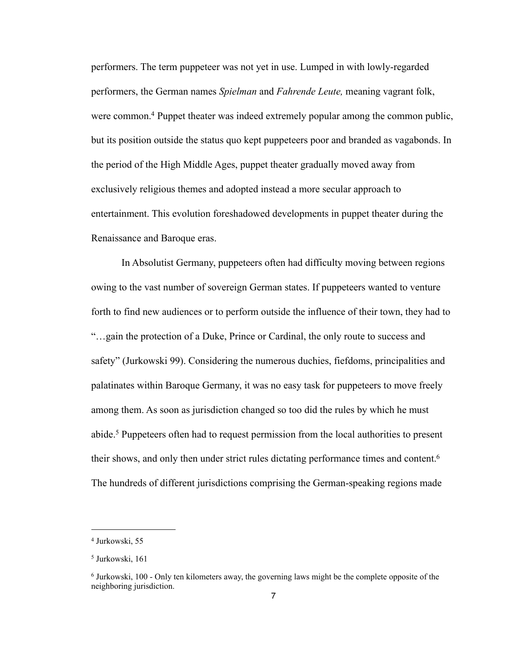performers. The term puppeteer was not yet in use. Lumped in with lowly-regarded performers, the German names *Spielman* and *Fahrende Leute,* meaning vagrant folk, were common.<sup>4</sup> Puppet theater was indeed extremely popular among the common public, but its position outside the status quo kept puppeteers poor and branded as vagabonds. In the period of the High Middle Ages, puppet theater gradually moved away from exclusively religious themes and adopted instead a more secular approach to entertainment. This evolution foreshadowed developments in puppet theater during the Renaissance and Baroque eras.

 In Absolutist Germany, puppeteers often had difficulty moving between regions owing to the vast number of sovereign German states. If puppeteers wanted to venture forth to find new audiences or to perform outside the influence of their town, they had to "…gain the protection of a Duke, Prince or Cardinal, the only route to success and safety" (Jurkowski 99). Considering the numerous duchies, fiefdoms, principalities and palatinates within Baroque Germany, it was no easy task for puppeteers to move freely among them. As soon as jurisdiction changed so too did the rules by which he must abide.[5](#page-11-1) Puppeteers often had to request permission from the local authorities to present their shows, and only then under strict rules dictating performance times and content[.6](#page-11-2) The hundreds of different jurisdictions comprising the German-speaking regions made

<span id="page-11-0"></span><sup>4</sup> Jurkowski, 55

<span id="page-11-1"></span><sup>5</sup> Jurkowski, 161

<span id="page-11-2"></span><sup>6</sup> Jurkowski, 100 - Only ten kilometers away, the governing laws might be the complete opposite of the neighboring jurisdiction.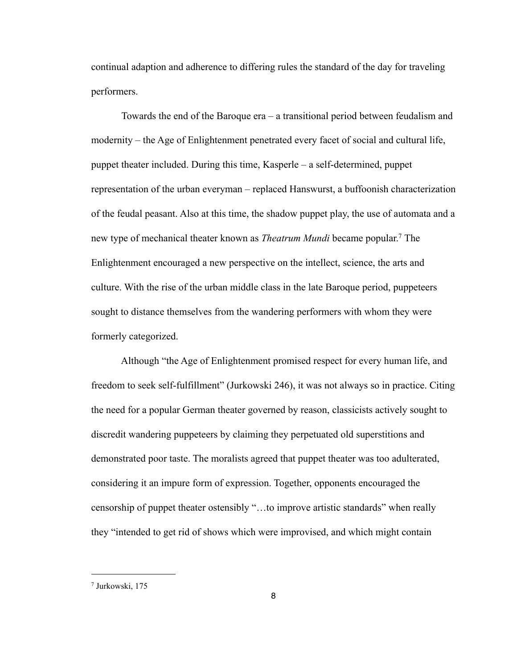continual adaption and adherence to differing rules the standard of the day for traveling performers.

 Towards the end of the Baroque era – a transitional period between feudalism and modernity – the Age of Enlightenment penetrated every facet of social and cultural life, puppet theater included. During this time, Kasperle – a self-determined, puppet representation of the urban everyman – replaced Hanswurst, a buffoonish characterization of the feudal peasant. Also at this time, the shadow puppet play, the use of automata and a new type of mechanical theater known as *Theatrum Mundi* became popular[.7](#page-12-0) The Enlightenment encouraged a new perspective on the intellect, science, the arts and culture. With the rise of the urban middle class in the late Baroque period, puppeteers sought to distance themselves from the wandering performers with whom they were formerly categorized.

 Although "the Age of Enlightenment promised respect for every human life, and freedom to seek self-fulfillment" (Jurkowski 246), it was not always so in practice. Citing the need for a popular German theater governed by reason, classicists actively sought to discredit wandering puppeteers by claiming they perpetuated old superstitions and demonstrated poor taste. The moralists agreed that puppet theater was too adulterated, considering it an impure form of expression. Together, opponents encouraged the censorship of puppet theater ostensibly "…to improve artistic standards" when really they "intended to get rid of shows which were improvised, and which might contain

<span id="page-12-0"></span><sup>7</sup> Jurkowski, 175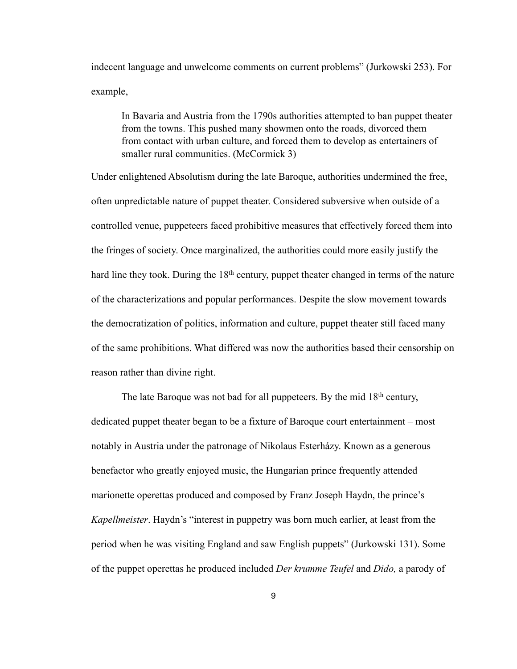indecent language and unwelcome comments on current problems" (Jurkowski 253). For example,

 In Bavaria and Austria from the 1790s authorities attempted to ban puppet theater from the towns. This pushed many showmen onto the roads, divorced them from contact with urban culture, and forced them to develop as entertainers of smaller rural communities. (McCormick 3)

Under enlightened Absolutism during the late Baroque, authorities undermined the free, often unpredictable nature of puppet theater. Considered subversive when outside of a controlled venue, puppeteers faced prohibitive measures that effectively forced them into the fringes of society. Once marginalized, the authorities could more easily justify the hard line they took. During the 18<sup>th</sup> century, puppet theater changed in terms of the nature of the characterizations and popular performances. Despite the slow movement towards the democratization of politics, information and culture, puppet theater still faced many of the same prohibitions. What differed was now the authorities based their censorship on reason rather than divine right.

The late Baroque was not bad for all puppeteers. By the mid  $18<sup>th</sup>$  century, dedicated puppet theater began to be a fixture of Baroque court entertainment – most notably in Austria under the patronage of Nikolaus Esterházy. Known as a generous benefactor who greatly enjoyed music, the Hungarian prince frequently attended marionette operettas produced and composed by Franz Joseph Haydn, the prince's *Kapellmeister*. Haydn's "interest in puppetry was born much earlier, at least from the period when he was visiting England and saw English puppets" (Jurkowski 131). Some of the puppet operettas he produced included *Der krumme Teufel* and *Dido,* a parody of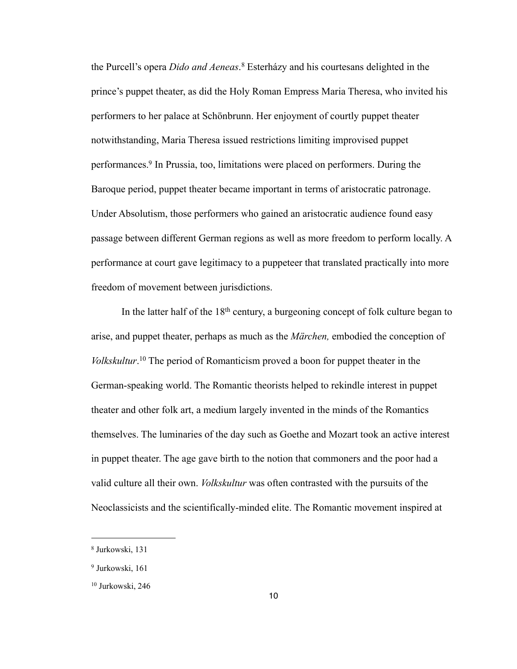the Purcell's opera *Dido and Aeneas*. [8](#page-14-0) Esterházy and his courtesans delighted in the prince's puppet theater, as did the Holy Roman Empress Maria Theresa, who invited his performers to her palace at Schönbrunn. Her enjoyment of courtly puppet theater notwithstanding, Maria Theresa issued restrictions limiting improvised puppet performances[.9](#page-14-1) In Prussia, too, limitations were placed on performers. During the Baroque period, puppet theater became important in terms of aristocratic patronage. Under Absolutism, those performers who gained an aristocratic audience found easy passage between different German regions as well as more freedom to perform locally. A performance at court gave legitimacy to a puppeteer that translated practically into more freedom of movement between jurisdictions.

In the latter half of the  $18<sup>th</sup>$  century, a burgeoning concept of folk culture began to arise, and puppet theater, perhaps as much as the *Märchen,* embodied the conception of *Volkskultur*. [10](#page-14-2) The period of Romanticism proved a boon for puppet theater in the German-speaking world. The Romantic theorists helped to rekindle interest in puppet theater and other folk art, a medium largely invented in the minds of the Romantics themselves. The luminaries of the day such as Goethe and Mozart took an active interest in puppet theater. The age gave birth to the notion that commoners and the poor had a valid culture all their own. *Volkskultur* was often contrasted with the pursuits of the Neoclassicists and the scientifically-minded elite. The Romantic movement inspired at

<span id="page-14-0"></span><sup>8</sup> Jurkowski, 131

<span id="page-14-1"></span><sup>9</sup> Jurkowski, 161

<span id="page-14-2"></span><sup>10</sup> Jurkowski, 246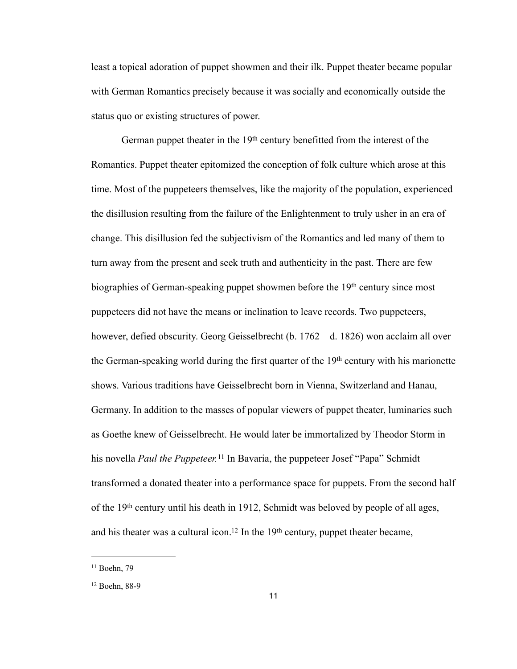least a topical adoration of puppet showmen and their ilk. Puppet theater became popular with German Romantics precisely because it was socially and economically outside the status quo or existing structures of power.

German puppet theater in the 19<sup>th</sup> century benefitted from the interest of the Romantics. Puppet theater epitomized the conception of folk culture which arose at this time. Most of the puppeteers themselves, like the majority of the population, experienced the disillusion resulting from the failure of the Enlightenment to truly usher in an era of change. This disillusion fed the subjectivism of the Romantics and led many of them to turn away from the present and seek truth and authenticity in the past. There are few biographies of German-speaking puppet showmen before the 19th century since most puppeteers did not have the means or inclination to leave records. Two puppeteers, however, defied obscurity. Georg Geisselbrecht (b. 1762 – d. 1826) won acclaim all over the German-speaking world during the first quarter of the 19th century with his marionette shows. Various traditions have Geisselbrecht born in Vienna, Switzerland and Hanau, Germany. In addition to the masses of popular viewers of puppet theater, luminaries such as Goethe knew of Geisselbrecht. He would later be immortalized by Theodor Storm in his novella *Paul the Puppeteer.*[11](#page-15-0) In Bavaria, the puppeteer Josef "Papa" Schmidt transformed a donated theater into a performance space for puppets. From the second half of the 19th century until his death in 1912, Schmidt was beloved by people of all ages, and his theater was a cultural icon.<sup>12</sup> In the 19<sup>th</sup> century, puppet theater became,

<span id="page-15-0"></span><sup>11</sup> Boehn, 79

<span id="page-15-1"></span><sup>12</sup> Boehn, 88-9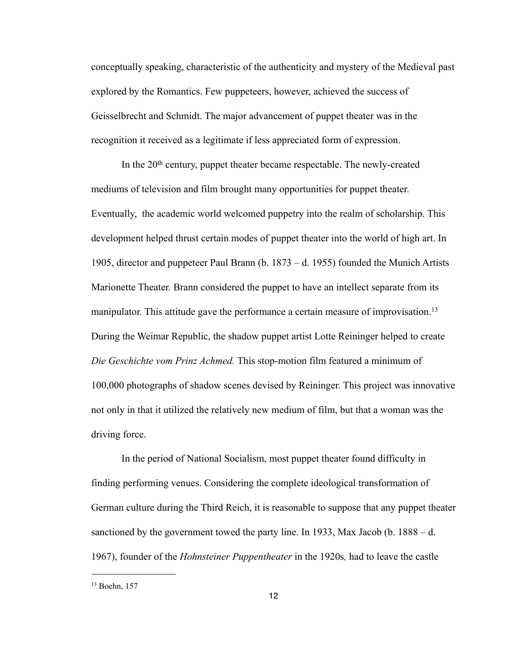conceptually speaking, characteristic of the authenticity and mystery of the Medieval past explored by the Romantics. Few puppeteers, however, achieved the success of Geisselbrecht and Schmidt. The major advancement of puppet theater was in the recognition it received as a legitimate if less appreciated form of expression.

In the  $20<sup>th</sup>$  century, puppet theater became respectable. The newly-created mediums of television and film brought many opportunities for puppet theater. Eventually, the academic world welcomed puppetry into the realm of scholarship. This development helped thrust certain modes of puppet theater into the world of high art. In 1905, director and puppeteer Paul Brann (b. 1873 – d. 1955) founded the Munich Artists Marionette Theater. Brann considered the puppet to have an intellect separate from its manipulator. This attitude gave the performance a certain measure of improvisation.<sup>[13](#page-16-0)</sup> During the Weimar Republic, the shadow puppet artist Lotte Reininger helped to create *Die Geschichte vom Prinz Achmed.* This stop-motion film featured a minimum of 100,000 photographs of shadow scenes devised by Reininger. This project was innovative not only in that it utilized the relatively new medium of film, but that a woman was the driving force.

 In the period of National Socialism, most puppet theater found difficulty in finding performing venues. Considering the complete ideological transformation of German culture during the Third Reich, it is reasonable to suppose that any puppet theater sanctioned by the government towed the party line. In 1933, Max Jacob (b. 1888 – d. 1967), founder of the *Hohnsteiner Puppentheater* in the 1920s*,* had to leave the castle

<span id="page-16-0"></span><sup>13</sup> Boehn, 157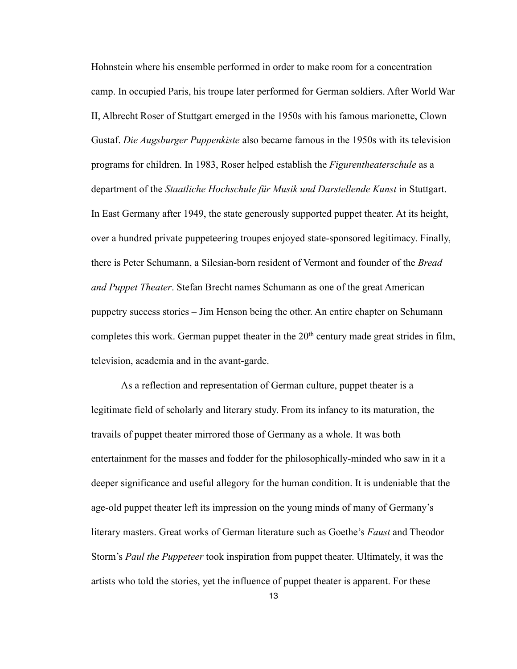Hohnstein where his ensemble performed in order to make room for a concentration camp. In occupied Paris, his troupe later performed for German soldiers. After World War II, Albrecht Roser of Stuttgart emerged in the 1950s with his famous marionette, Clown Gustaf. *Die Augsburger Puppenkiste* also became famous in the 1950s with its television programs for children. In 1983, Roser helped establish the *Figurentheaterschule* as a department of the *Staatliche Hochschule für Musik und Darstellende Kunst* in Stuttgart. In East Germany after 1949, the state generously supported puppet theater. At its height, over a hundred private puppeteering troupes enjoyed state-sponsored legitimacy. Finally, there is Peter Schumann, a Silesian-born resident of Vermont and founder of the *Bread and Puppet Theater*. Stefan Brecht names Schumann as one of the great American puppetry success stories – Jim Henson being the other. An entire chapter on Schumann completes this work. German puppet theater in the 20<sup>th</sup> century made great strides in film, television, academia and in the avant-garde.

 As a reflection and representation of German culture, puppet theater is a legitimate field of scholarly and literary study. From its infancy to its maturation, the travails of puppet theater mirrored those of Germany as a whole. It was both entertainment for the masses and fodder for the philosophically-minded who saw in it a deeper significance and useful allegory for the human condition. It is undeniable that the age-old puppet theater left its impression on the young minds of many of Germany's literary masters. Great works of German literature such as Goethe's *Faust* and Theodor Storm's *Paul the Puppeteer* took inspiration from puppet theater. Ultimately, it was the artists who told the stories, yet the influence of puppet theater is apparent. For these

13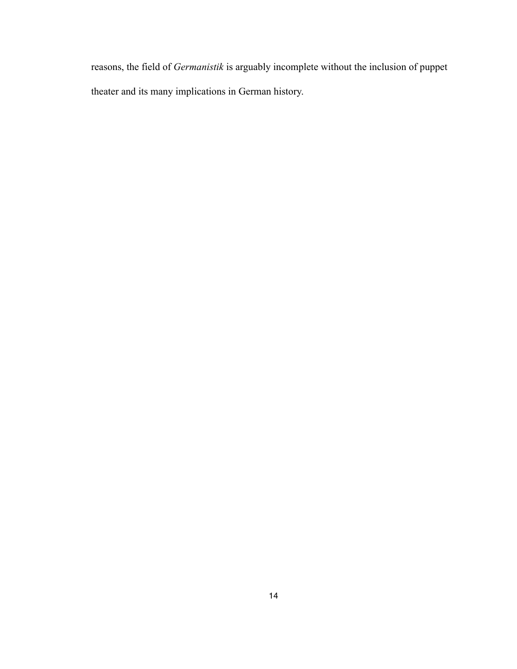reasons, the field of *Germanistik* is arguably incomplete without the inclusion of puppet theater and its many implications in German history.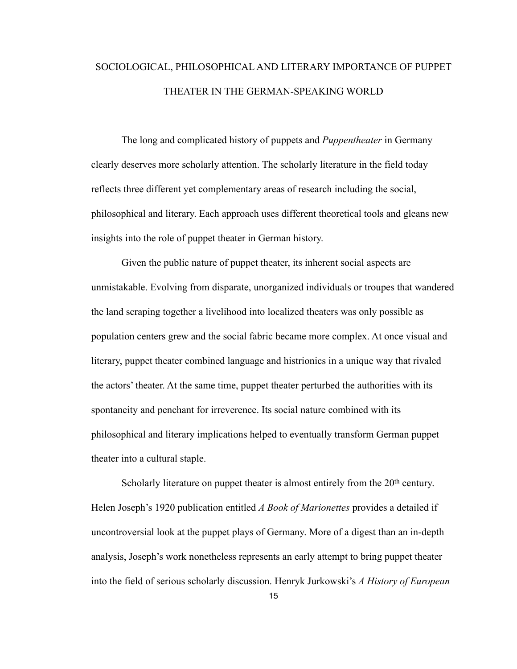# SOCIOLOGICAL, PHILOSOPHICAL AND LITERARY IMPORTANCE OF PUPPET THEATER IN THE GERMAN-SPEAKING WORLD

 The long and complicated history of puppets and *Puppentheater* in Germany clearly deserves more scholarly attention. The scholarly literature in the field today reflects three different yet complementary areas of research including the social, philosophical and literary. Each approach uses different theoretical tools and gleans new insights into the role of puppet theater in German history.

 Given the public nature of puppet theater, its inherent social aspects are unmistakable. Evolving from disparate, unorganized individuals or troupes that wandered the land scraping together a livelihood into localized theaters was only possible as population centers grew and the social fabric became more complex. At once visual and literary, puppet theater combined language and histrionics in a unique way that rivaled the actors' theater. At the same time, puppet theater perturbed the authorities with its spontaneity and penchant for irreverence. Its social nature combined with its philosophical and literary implications helped to eventually transform German puppet theater into a cultural staple.

Scholarly literature on puppet theater is almost entirely from the  $20<sup>th</sup>$  century. Helen Joseph's 1920 publication entitled *A Book of Marionettes* provides a detailed if uncontroversial look at the puppet plays of Germany. More of a digest than an in-depth analysis, Joseph's work nonetheless represents an early attempt to bring puppet theater into the field of serious scholarly discussion. Henryk Jurkowski's *A History of European* 

15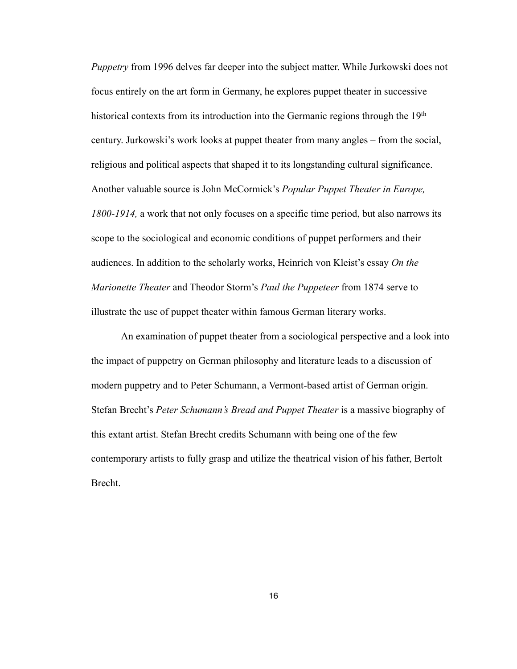*Puppetry* from 1996 delves far deeper into the subject matter. While Jurkowski does not focus entirely on the art form in Germany, he explores puppet theater in successive historical contexts from its introduction into the Germanic regions through the 19<sup>th</sup> century. Jurkowski's work looks at puppet theater from many angles – from the social, religious and political aspects that shaped it to its longstanding cultural significance. Another valuable source is John McCormick's *Popular Puppet Theater in Europe, 1800-1914,* a work that not only focuses on a specific time period, but also narrows its scope to the sociological and economic conditions of puppet performers and their audiences. In addition to the scholarly works, Heinrich von Kleist's essay *On the Marionette Theater* and Theodor Storm's *Paul the Puppeteer* from 1874 serve to illustrate the use of puppet theater within famous German literary works.

 An examination of puppet theater from a sociological perspective and a look into the impact of puppetry on German philosophy and literature leads to a discussion of modern puppetry and to Peter Schumann, a Vermont-based artist of German origin. Stefan Brecht's *Peter Schumann's Bread and Puppet Theater* is a massive biography of this extant artist. Stefan Brecht credits Schumann with being one of the few contemporary artists to fully grasp and utilize the theatrical vision of his father, Bertolt Brecht.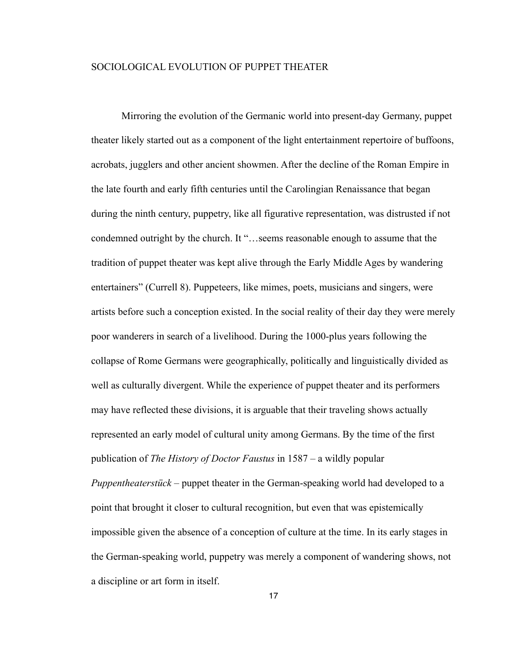#### SOCIOLOGICAL EVOLUTION OF PUPPET THEATER

Mirroring the evolution of the Germanic world into present-day Germany, puppet theater likely started out as a component of the light entertainment repertoire of buffoons, acrobats, jugglers and other ancient showmen. After the decline of the Roman Empire in the late fourth and early fifth centuries until the Carolingian Renaissance that began during the ninth century, puppetry, like all figurative representation, was distrusted if not condemned outright by the church. It "…seems reasonable enough to assume that the tradition of puppet theater was kept alive through the Early Middle Ages by wandering entertainers" (Currell 8). Puppeteers, like mimes, poets, musicians and singers, were artists before such a conception existed. In the social reality of their day they were merely poor wanderers in search of a livelihood. During the 1000-plus years following the collapse of Rome Germans were geographically, politically and linguistically divided as well as culturally divergent. While the experience of puppet theater and its performers may have reflected these divisions, it is arguable that their traveling shows actually represented an early model of cultural unity among Germans. By the time of the first publication of *The History of Doctor Faustus* in 1587 – a wildly popular *Puppentheaterstück –* puppet theater in the German-speaking world had developed to a point that brought it closer to cultural recognition, but even that was epistemically impossible given the absence of a conception of culture at the time. In its early stages in the German-speaking world, puppetry was merely a component of wandering shows, not a discipline or art form in itself.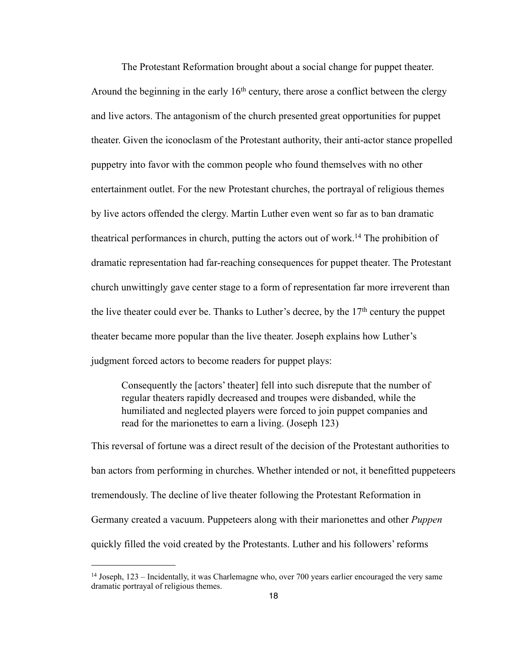The Protestant Reformation brought about a social change for puppet theater. Around the beginning in the early  $16<sup>th</sup>$  century, there arose a conflict between the clergy and live actors. The antagonism of the church presented great opportunities for puppet theater. Given the iconoclasm of the Protestant authority, their anti-actor stance propelled puppetry into favor with the common people who found themselves with no other entertainment outlet. For the new Protestant churches, the portrayal of religious themes by live actors offended the clergy. Martin Luther even went so far as to ban dramatic theatrical performances in church, putting the actors out of work[.14](#page-22-0) The prohibition of dramatic representation had far-reaching consequences for puppet theater. The Protestant church unwittingly gave center stage to a form of representation far more irreverent than the live theater could ever be. Thanks to Luther's decree, by the  $17<sup>th</sup>$  century the puppet theater became more popular than the live theater. Joseph explains how Luther's judgment forced actors to become readers for puppet plays:

Consequently the [actors' theater] fell into such disrepute that the number of regular theaters rapidly decreased and troupes were disbanded, while the humiliated and neglected players were forced to join puppet companies and read for the marionettes to earn a living. (Joseph 123)

This reversal of fortune was a direct result of the decision of the Protestant authorities to ban actors from performing in churches. Whether intended or not, it benefitted puppeteers tremendously. The decline of live theater following the Protestant Reformation in Germany created a vacuum. Puppeteers along with their marionettes and other *Puppen*  quickly filled the void created by the Protestants. Luther and his followers' reforms

<span id="page-22-0"></span><sup>14</sup> Joseph, 123 – Incidentally, it was Charlemagne who, over 700 years earlier encouraged the very same dramatic portrayal of religious themes.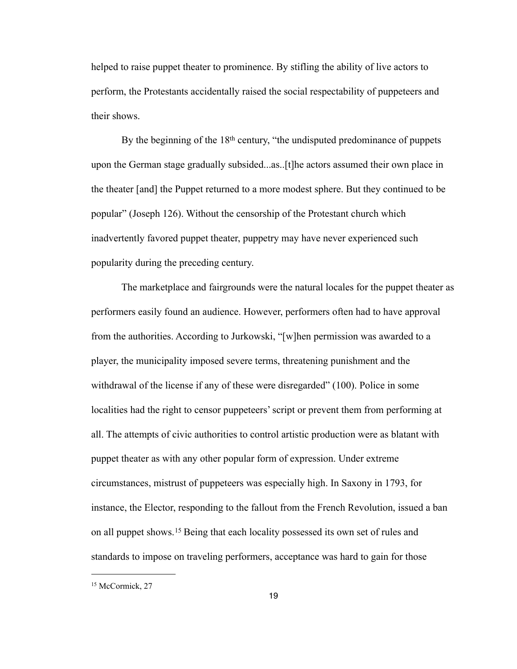helped to raise puppet theater to prominence. By stifling the ability of live actors to perform, the Protestants accidentally raised the social respectability of puppeteers and their shows.

By the beginning of the 18<sup>th</sup> century, "the undisputed predominance of puppets upon the German stage gradually subsided...as..[t]he actors assumed their own place in the theater [and] the Puppet returned to a more modest sphere. But they continued to be popular" (Joseph 126). Without the censorship of the Protestant church which inadvertently favored puppet theater, puppetry may have never experienced such popularity during the preceding century.

 The marketplace and fairgrounds were the natural locales for the puppet theater as performers easily found an audience. However, performers often had to have approval from the authorities. According to Jurkowski, "[w]hen permission was awarded to a player, the municipality imposed severe terms, threatening punishment and the withdrawal of the license if any of these were disregarded" (100). Police in some localities had the right to censor puppeteers' script or prevent them from performing at all. The attempts of civic authorities to control artistic production were as blatant with puppet theater as with any other popular form of expression. Under extreme circumstances, mistrust of puppeteers was especially high. In Saxony in 1793, for instance, the Elector, responding to the fallout from the French Revolution, issued a ban on all puppet shows.[15](#page-23-0) Being that each locality possessed its own set of rules and standards to impose on traveling performers, acceptance was hard to gain for those

<span id="page-23-0"></span><sup>&</sup>lt;sup>15</sup> McCormick, 27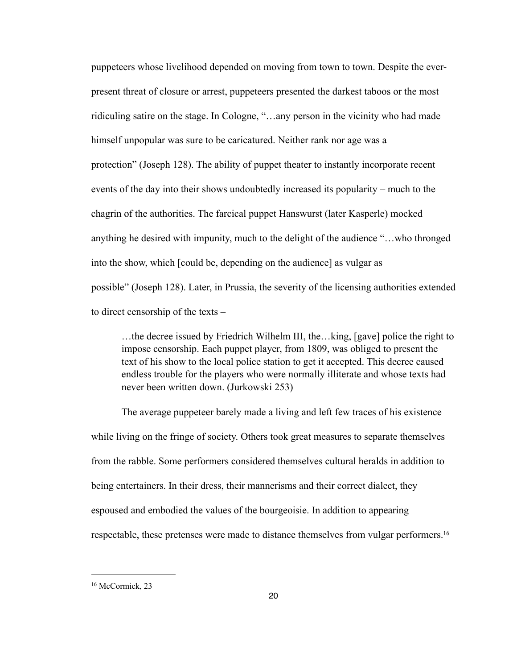puppeteers whose livelihood depended on moving from town to town. Despite the everpresent threat of closure or arrest, puppeteers presented the darkest taboos or the most ridiculing satire on the stage. In Cologne, "…any person in the vicinity who had made himself unpopular was sure to be caricatured. Neither rank nor age was a protection" (Joseph 128). The ability of puppet theater to instantly incorporate recent events of the day into their shows undoubtedly increased its popularity – much to the chagrin of the authorities. The farcical puppet Hanswurst (later Kasperle) mocked anything he desired with impunity, much to the delight of the audience "…who thronged into the show, which [could be, depending on the audience] as vulgar as possible" (Joseph 128). Later, in Prussia, the severity of the licensing authorities extended to direct censorship of the texts –

 …the decree issued by Friedrich Wilhelm III, the…king, [gave] police the right to impose censorship. Each puppet player, from 1809, was obliged to present the text of his show to the local police station to get it accepted. This decree caused endless trouble for the players who were normally illiterate and whose texts had never been written down. (Jurkowski 253)

The average puppeteer barely made a living and left few traces of his existence while living on the fringe of society. Others took great measures to separate themselves from the rabble. Some performers considered themselves cultural heralds in addition to being entertainers. In their dress, their mannerisms and their correct dialect, they espoused and embodied the values of the bourgeoisie. In addition to appearing respectable, these pretenses were made to distance themselves from vulgar performers[.16](#page-24-0)

<span id="page-24-0"></span><sup>&</sup>lt;sup>16</sup> McCormick, 23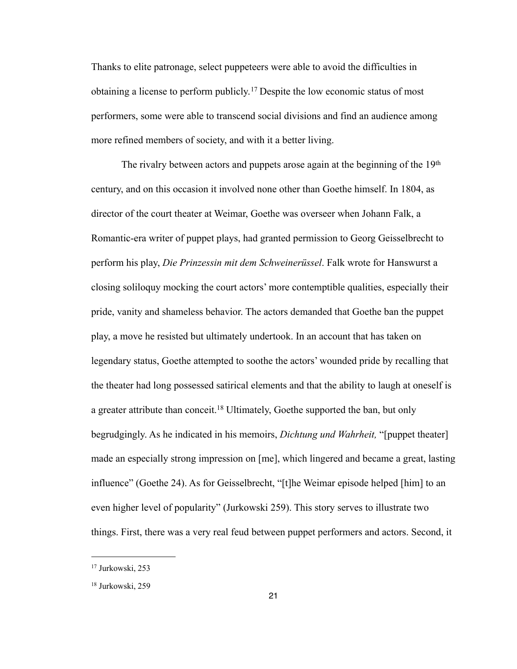Thanks to elite patronage, select puppeteers were able to avoid the difficulties in obtaining a license to perform publicly.[17](#page-25-0) Despite the low economic status of most performers, some were able to transcend social divisions and find an audience among more refined members of society, and with it a better living.

The rivalry between actors and puppets arose again at the beginning of the 19<sup>th</sup> century, and on this occasion it involved none other than Goethe himself. In 1804, as director of the court theater at Weimar, Goethe was overseer when Johann Falk, a Romantic-era writer of puppet plays, had granted permission to Georg Geisselbrecht to perform his play, *Die Prinzessin mit dem Schweinerüssel*. Falk wrote for Hanswurst a closing soliloquy mocking the court actors' more contemptible qualities, especially their pride, vanity and shameless behavior. The actors demanded that Goethe ban the puppet play, a move he resisted but ultimately undertook. In an account that has taken on legendary status, Goethe attempted to soothe the actors' wounded pride by recalling that the theater had long possessed satirical elements and that the ability to laugh at oneself is a greater attribute than conceit.<sup>18</sup> Ultimately, Goethe supported the ban, but only begrudgingly. As he indicated in his memoirs, *Dichtung und Wahrheit,* "[puppet theater] made an especially strong impression on [me], which lingered and became a great, lasting influence" (Goethe 24). As for Geisselbrecht, "[t]he Weimar episode helped [him] to an even higher level of popularity" (Jurkowski 259). This story serves to illustrate two things. First, there was a very real feud between puppet performers and actors. Second, it

<span id="page-25-0"></span><sup>17</sup> Jurkowski, 253

<span id="page-25-1"></span><sup>18</sup> Jurkowski, 259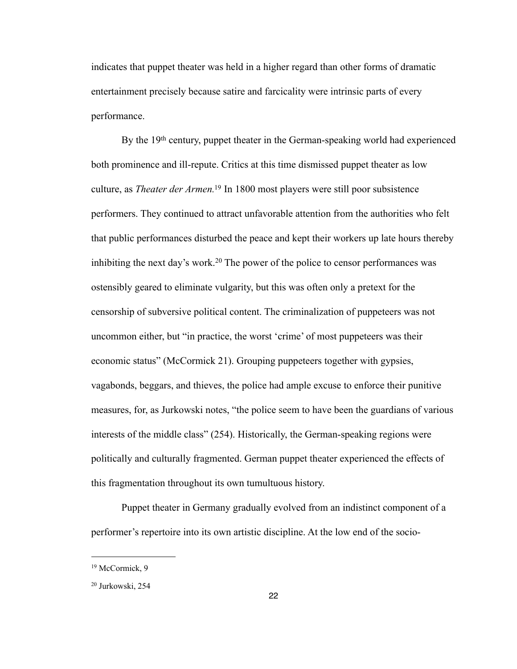indicates that puppet theater was held in a higher regard than other forms of dramatic entertainment precisely because satire and farcicality were intrinsic parts of every performance.

By the 19<sup>th</sup> century, puppet theater in the German-speaking world had experienced both prominence and ill-repute. Critics at this time dismissed puppet theater as low culture, as *Theater der Armen.*[19](#page-26-0) In 1800 most players were still poor subsistence performers. They continued to attract unfavorable attention from the authorities who felt that public performances disturbed the peace and kept their workers up late hours thereby inhibiting the next day's work.[20](#page-26-1) The power of the police to censor performances was ostensibly geared to eliminate vulgarity, but this was often only a pretext for the censorship of subversive political content. The criminalization of puppeteers was not uncommon either, but "in practice, the worst 'crime' of most puppeteers was their economic status" (McCormick 21). Grouping puppeteers together with gypsies, vagabonds, beggars, and thieves, the police had ample excuse to enforce their punitive measures, for, as Jurkowski notes, "the police seem to have been the guardians of various interests of the middle class" (254). Historically, the German-speaking regions were politically and culturally fragmented. German puppet theater experienced the effects of this fragmentation throughout its own tumultuous history.

Puppet theater in Germany gradually evolved from an indistinct component of a performer's repertoire into its own artistic discipline. At the low end of the socio-

<span id="page-26-0"></span><sup>&</sup>lt;sup>19</sup> McCormick, 9

<span id="page-26-1"></span><sup>20</sup> Jurkowski, 254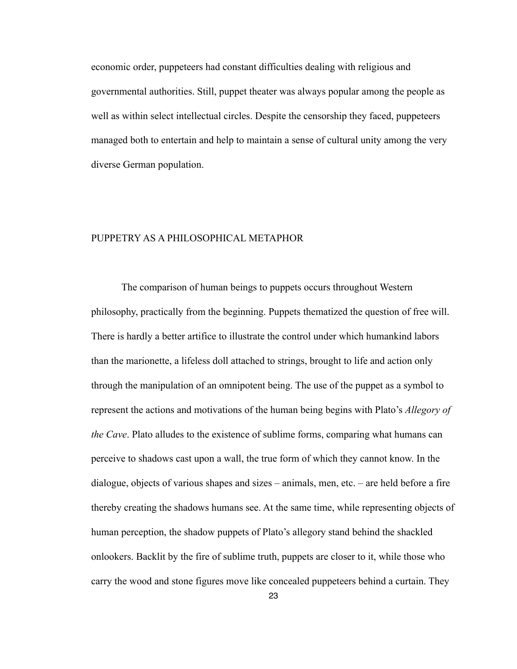economic order, puppeteers had constant difficulties dealing with religious and governmental authorities. Still, puppet theater was always popular among the people as well as within select intellectual circles. Despite the censorship they faced, puppeteers managed both to entertain and help to maintain a sense of cultural unity among the very diverse German population.

### PUPPETRY AS A PHILOSOPHICAL METAPHOR

 The comparison of human beings to puppets occurs throughout Western philosophy, practically from the beginning. Puppets thematized the question of free will. There is hardly a better artifice to illustrate the control under which humankind labors than the marionette, a lifeless doll attached to strings, brought to life and action only through the manipulation of an omnipotent being. The use of the puppet as a symbol to represent the actions and motivations of the human being begins with Plato's *Allegory of the Cave*. Plato alludes to the existence of sublime forms, comparing what humans can perceive to shadows cast upon a wall, the true form of which they cannot know. In the dialogue, objects of various shapes and sizes – animals, men, etc. – are held before a fire thereby creating the shadows humans see. At the same time, while representing objects of human perception, the shadow puppets of Plato's allegory stand behind the shackled onlookers. Backlit by the fire of sublime truth, puppets are closer to it, while those who carry the wood and stone figures move like concealed puppeteers behind a curtain. They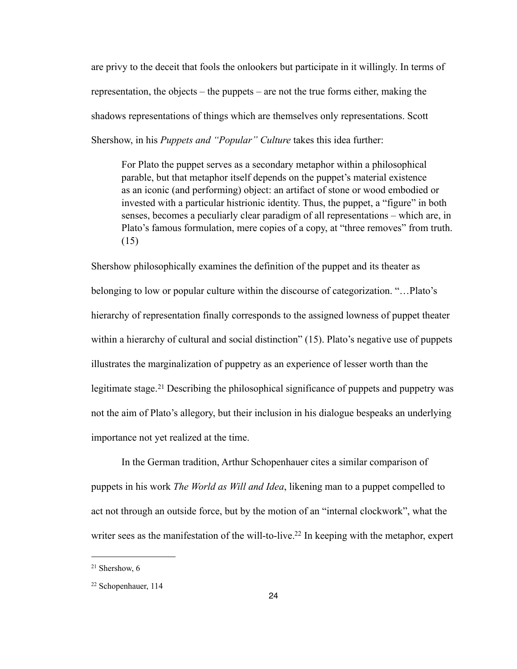are privy to the deceit that fools the onlookers but participate in it willingly. In terms of representation, the objects – the puppets – are not the true forms either, making the shadows representations of things which are themselves only representations. Scott Shershow, in his *Puppets and "Popular" Culture* takes this idea further:

For Plato the puppet serves as a secondary metaphor within a philosophical parable, but that metaphor itself depends on the puppet's material existence as an iconic (and performing) object: an artifact of stone or wood embodied or invested with a particular histrionic identity. Thus, the puppet, a "figure" in both senses, becomes a peculiarly clear paradigm of all representations – which are, in Plato's famous formulation, mere copies of a copy, at "three removes" from truth. (15)

Shershow philosophically examines the definition of the puppet and its theater as belonging to low or popular culture within the discourse of categorization. "…Plato's hierarchy of representation finally corresponds to the assigned lowness of puppet theater within a hierarchy of cultural and social distinction" (15). Plato's negative use of puppets illustrates the marginalization of puppetry as an experience of lesser worth than the legitimate stage.<sup>21</sup> Describing the philosophical significance of puppets and puppetry was not the aim of Plato's allegory, but their inclusion in his dialogue bespeaks an underlying importance not yet realized at the time.

 In the German tradition, Arthur Schopenhauer cites a similar comparison of puppets in his work *The World as Will and Idea*, likening man to a puppet compelled to act not through an outside force, but by the motion of an "internal clockwork", what the writer sees as the manifestation of the will-to-live.<sup>22</sup> In keeping with the metaphor, expert

<span id="page-28-0"></span><sup>21</sup> Shershow, 6

<span id="page-28-1"></span><sup>22</sup> Schopenhauer, 114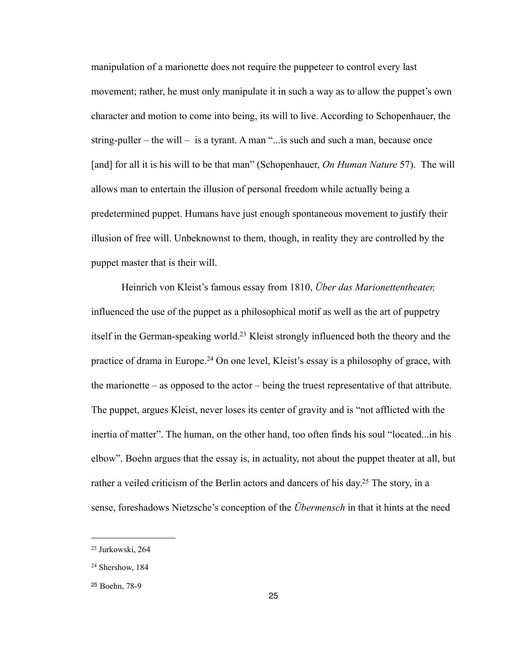manipulation of a marionette does not require the puppeteer to control every last movement; rather, he must only manipulate it in such a way as to allow the puppet's own character and motion to come into being, its will to live. According to Schopenhauer, the string-puller – the will – is a tyrant. A man " $\ldots$  is such and such a man, because once [and] for all it is his will to be that man" (Schopenhauer, *On Human Nature* 57). The will allows man to entertain the illusion of personal freedom while actually being a predetermined puppet. Humans have just enough spontaneous movement to justify their illusion of free will. Unbeknownst to them, though, in reality they are controlled by the puppet master that is their will.

 Heinrich von Kleist's famous essay from 1810, *Über das Marionettentheater,* influenced the use of the puppet as a philosophical motif as well as the art of puppetry itself in the German-speaking world[.23](#page-29-0) Kleist strongly influenced both the theory and the practice of drama in Europe.[24](#page-29-1) On one level, Kleist's essay is a philosophy of grace, with the marionette – as opposed to the actor – being the truest representative of that attribute. The puppet, argues Kleist, never loses its center of gravity and is "not afflicted with the inertia of matter". The human, on the other hand, too often finds his soul "located...in his elbow". Boehn argues that the essay is, in actuality, not about the puppet theater at all, but rather a veiled criticism of the Berlin actors and dancers of his day.<sup>25</sup> The story, in a sense, foreshadows Nietzsche's conception of the *Übermensch* in that it hints at the need

<span id="page-29-0"></span><sup>23</sup> Jurkowski, 264

<span id="page-29-1"></span><sup>24</sup> Shershow, 184

<span id="page-29-2"></span><sup>25</sup> Boehn, 78-9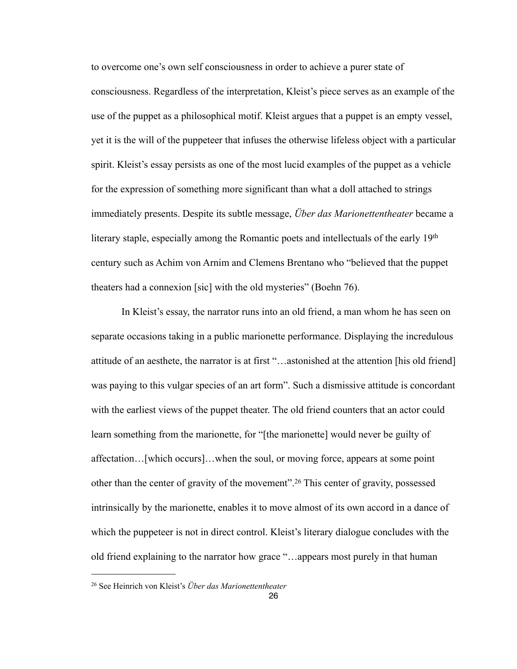to overcome one's own self consciousness in order to achieve a purer state of consciousness. Regardless of the interpretation, Kleist's piece serves as an example of the use of the puppet as a philosophical motif. Kleist argues that a puppet is an empty vessel, yet it is the will of the puppeteer that infuses the otherwise lifeless object with a particular spirit. Kleist's essay persists as one of the most lucid examples of the puppet as a vehicle for the expression of something more significant than what a doll attached to strings immediately presents. Despite its subtle message, *Über das Marionettentheater* became a literary staple, especially among the Romantic poets and intellectuals of the early 19th century such as Achim von Arnim and Clemens Brentano who "believed that the puppet theaters had a connexion [sic] with the old mysteries" (Boehn 76).

In Kleist's essay, the narrator runs into an old friend, a man whom he has seen on separate occasions taking in a public marionette performance. Displaying the incredulous attitude of an aesthete, the narrator is at first "…astonished at the attention [his old friend] was paying to this vulgar species of an art form". Such a dismissive attitude is concordant with the earliest views of the puppet theater. The old friend counters that an actor could learn something from the marionette, for "[the marionette] would never be guilty of affectation…[which occurs]…when the soul, or moving force, appears at some point other than the center of gravity of the movement".[26](#page-30-0) This center of gravity, possessed intrinsically by the marionette, enables it to move almost of its own accord in a dance of which the puppeteer is not in direct control. Kleist's literary dialogue concludes with the old friend explaining to the narrator how grace "…appears most purely in that human

<span id="page-30-0"></span><sup>26</sup> See Heinrich von Kleist's *Über das Marionettentheater*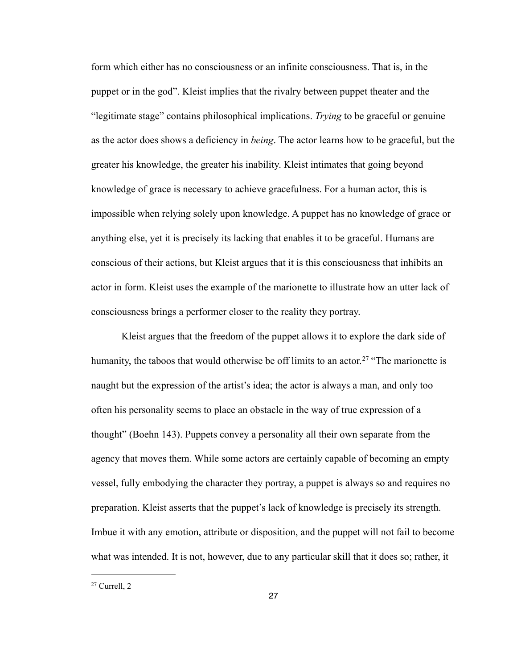form which either has no consciousness or an infinite consciousness. That is, in the puppet or in the god". Kleist implies that the rivalry between puppet theater and the "legitimate stage" contains philosophical implications. *Trying* to be graceful or genuine as the actor does shows a deficiency in *being*. The actor learns how to be graceful, but the greater his knowledge, the greater his inability. Kleist intimates that going beyond knowledge of grace is necessary to achieve gracefulness. For a human actor, this is impossible when relying solely upon knowledge. A puppet has no knowledge of grace or anything else, yet it is precisely its lacking that enables it to be graceful. Humans are conscious of their actions, but Kleist argues that it is this consciousness that inhibits an actor in form. Kleist uses the example of the marionette to illustrate how an utter lack of consciousness brings a performer closer to the reality they portray.

 Kleist argues that the freedom of the puppet allows it to explore the dark side of humanity, the taboos that would otherwise be off limits to an actor.<sup>27</sup> "The marionette is naught but the expression of the artist's idea; the actor is always a man, and only too often his personality seems to place an obstacle in the way of true expression of a thought" (Boehn 143). Puppets convey a personality all their own separate from the agency that moves them. While some actors are certainly capable of becoming an empty vessel, fully embodying the character they portray, a puppet is always so and requires no preparation. Kleist asserts that the puppet's lack of knowledge is precisely its strength. Imbue it with any emotion, attribute or disposition, and the puppet will not fail to become what was intended. It is not, however, due to any particular skill that it does so; rather, it

<span id="page-31-0"></span><sup>27</sup> Currell, 2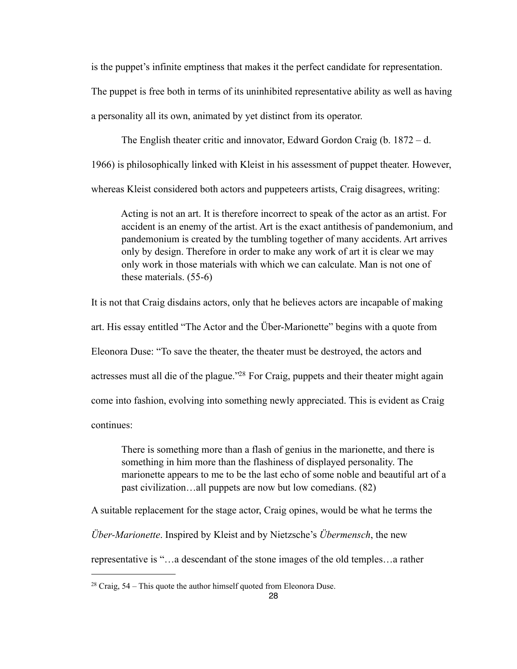is the puppet's infinite emptiness that makes it the perfect candidate for representation.

The puppet is free both in terms of its uninhibited representative ability as well as having

a personality all its own, animated by yet distinct from its operator.

 The English theater critic and innovator, Edward Gordon Craig (b. 1872 – d. 1966) is philosophically linked with Kleist in his assessment of puppet theater. However,

whereas Kleist considered both actors and puppeteers artists, Craig disagrees, writing:

Acting is not an art. It is therefore incorrect to speak of the actor as an artist. For accident is an enemy of the artist. Art is the exact antithesis of pandemonium, and pandemonium is created by the tumbling together of many accidents. Art arrives only by design. Therefore in order to make any work of art it is clear we may only work in those materials with which we can calculate. Man is not one of these materials. (55-6)

It is not that Craig disdains actors, only that he believes actors are incapable of making art. His essay entitled "The Actor and the Über-Marionette" begins with a quote from Eleonora Duse: "To save the theater, the theater must be destroyed, the actors and actresses must all die of the plague.["28](#page-32-0) For Craig, puppets and their theater might again come into fashion, evolving into something newly appreciated. This is evident as Craig continues:

There is something more than a flash of genius in the marionette, and there is something in him more than the flashiness of displayed personality. The marionette appears to me to be the last echo of some noble and beautiful art of a past civilization…all puppets are now but low comedians. (82)

A suitable replacement for the stage actor, Craig opines, would be what he terms the

*Über-Marionette*. Inspired by Kleist and by Nietzsche's *Übermensch*, the new

representative is "…a descendant of the stone images of the old temples…a rather

<span id="page-32-0"></span> $28$  Craig,  $54$  – This quote the author himself quoted from Eleonora Duse.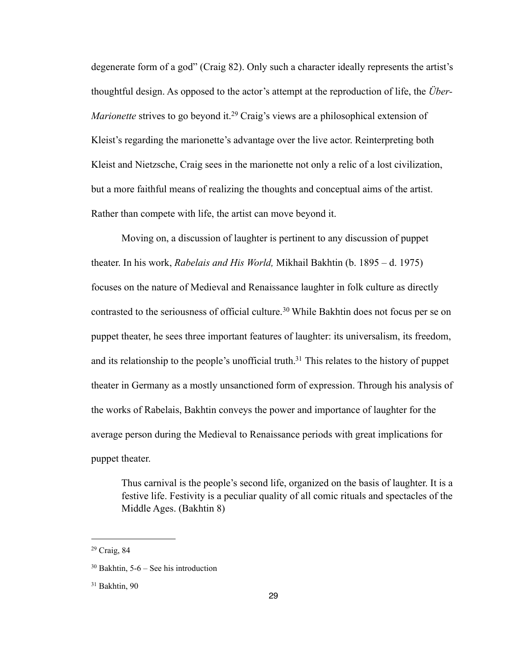degenerate form of a god" (Craig 82). Only such a character ideally represents the artist's thoughtful design. As opposed to the actor's attempt at the reproduction of life, the *Über-Marionette* strives to go beyond it.<sup>29</sup> Craig's views are a philosophical extension of Kleist's regarding the marionette's advantage over the live actor. Reinterpreting both Kleist and Nietzsche, Craig sees in the marionette not only a relic of a lost civilization, but a more faithful means of realizing the thoughts and conceptual aims of the artist. Rather than compete with life, the artist can move beyond it.

Moving on, a discussion of laughter is pertinent to any discussion of puppet theater. In his work, *Rabelais and His World,* Mikhail Bakhtin (b. 1895 – d. 1975) focuses on the nature of Medieval and Renaissance laughter in folk culture as directly contrasted to the seriousness of official culture.<sup>30</sup> While Bakhtin does not focus per se on puppet theater, he sees three important features of laughter: its universalism, its freedom, and its relationship to the people's unofficial truth.<sup>31</sup> This relates to the history of puppet theater in Germany as a mostly unsanctioned form of expression. Through his analysis of the works of Rabelais, Bakhtin conveys the power and importance of laughter for the average person during the Medieval to Renaissance periods with great implications for puppet theater.

Thus carnival is the people's second life, organized on the basis of laughter. It is a festive life. Festivity is a peculiar quality of all comic rituals and spectacles of the Middle Ages. (Bakhtin 8)

<span id="page-33-0"></span><sup>29</sup> Craig, 84

<span id="page-33-1"></span><sup>30</sup> Bakhtin, 5-6 – See his introduction

<span id="page-33-2"></span><sup>31</sup> Bakhtin, 90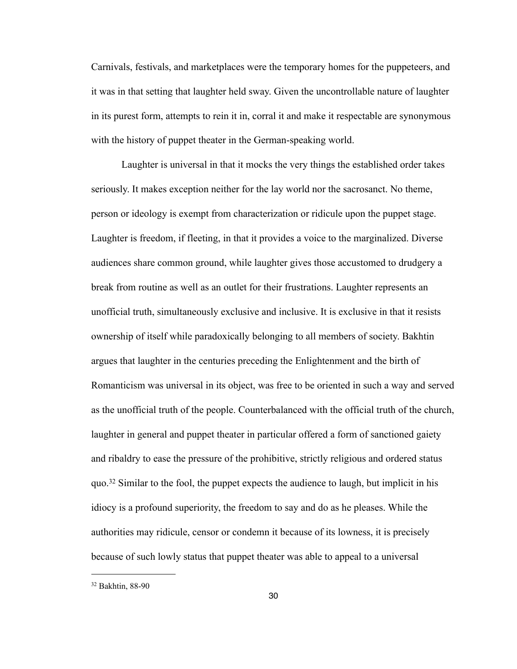Carnivals, festivals, and marketplaces were the temporary homes for the puppeteers, and it was in that setting that laughter held sway. Given the uncontrollable nature of laughter in its purest form, attempts to rein it in, corral it and make it respectable are synonymous with the history of puppet theater in the German-speaking world.

 Laughter is universal in that it mocks the very things the established order takes seriously. It makes exception neither for the lay world nor the sacrosanct. No theme, person or ideology is exempt from characterization or ridicule upon the puppet stage. Laughter is freedom, if fleeting, in that it provides a voice to the marginalized. Diverse audiences share common ground, while laughter gives those accustomed to drudgery a break from routine as well as an outlet for their frustrations. Laughter represents an unofficial truth, simultaneously exclusive and inclusive. It is exclusive in that it resists ownership of itself while paradoxically belonging to all members of society. Bakhtin argues that laughter in the centuries preceding the Enlightenment and the birth of Romanticism was universal in its object, was free to be oriented in such a way and served as the unofficial truth of the people. Counterbalanced with the official truth of the church, laughter in general and puppet theater in particular offered a form of sanctioned gaiety and ribaldry to ease the pressure of the prohibitive, strictly religious and ordered status quo.[32](#page-34-0) Similar to the fool, the puppet expects the audience to laugh, but implicit in his idiocy is a profound superiority, the freedom to say and do as he pleases. While the authorities may ridicule, censor or condemn it because of its lowness, it is precisely because of such lowly status that puppet theater was able to appeal to a universal

<span id="page-34-0"></span><sup>32</sup> Bakhtin, 88-90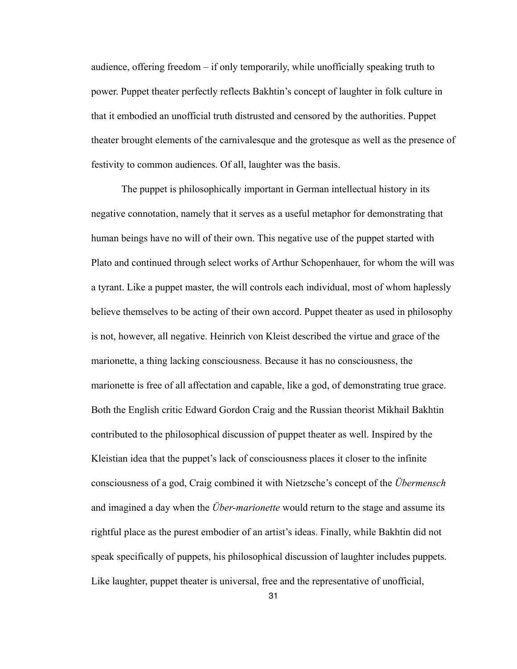audience, offering freedom – if only temporarily, while unofficially speaking truth to power. Puppet theater perfectly reflects Bakhtin's concept of laughter in folk culture in that it embodied an unofficial truth distrusted and censored by the authorities. Puppet theater brought elements of the carnivalesque and the grotesque as well as the presence of festivity to common audiences. Of all, laughter was the basis.

 The puppet is philosophically important in German intellectual history in its negative connotation, namely that it serves as a useful metaphor for demonstrating that human beings have no will of their own. This negative use of the puppet started with Plato and continued through select works of Arthur Schopenhauer, for whom the will was a tyrant. Like a puppet master, the will controls each individual, most of whom haplessly believe themselves to be acting of their own accord. Puppet theater as used in philosophy is not, however, all negative. Heinrich von Kleist described the virtue and grace of the marionette, a thing lacking consciousness. Because it has no consciousness, the marionette is free of all affectation and capable, like a god, of demonstrating true grace. Both the English critic Edward Gordon Craig and the Russian theorist Mikhail Bakhtin contributed to the philosophical discussion of puppet theater as well. Inspired by the Kleistian idea that the puppet's lack of consciousness places it closer to the infinite consciousness of a god, Craig combined it with Nietzsche's concept of the *Übermensch* and imagined a day when the *Über-marionette* would return to the stage and assume its rightful place as the purest embodier of an artist's ideas. Finally, while Bakhtin did not speak specifically of puppets, his philosophical discussion of laughter includes puppets. Like laughter, puppet theater is universal, free and the representative of unofficial,

31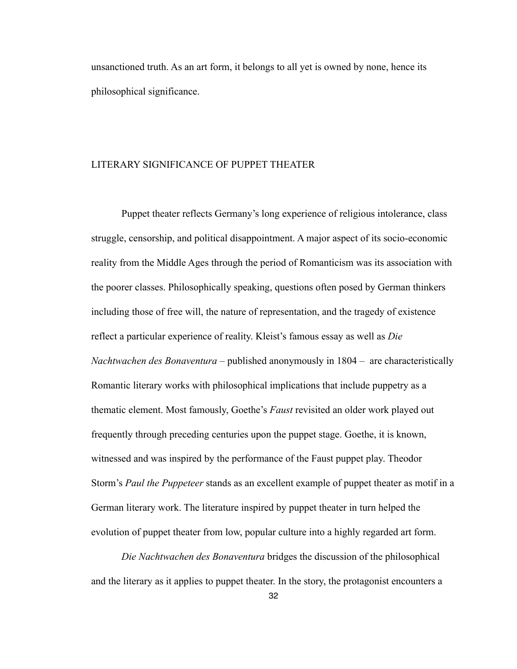unsanctioned truth. As an art form, it belongs to all yet is owned by none, hence its philosophical significance.

## LITERARY SIGNIFICANCE OF PUPPET THEATER

 Puppet theater reflects Germany's long experience of religious intolerance, class struggle, censorship, and political disappointment. A major aspect of its socio-economic reality from the Middle Ages through the period of Romanticism was its association with the poorer classes. Philosophically speaking, questions often posed by German thinkers including those of free will, the nature of representation, and the tragedy of existence reflect a particular experience of reality. Kleist's famous essay as well as *Die Nachtwachen des Bonaventura* – published anonymously in 1804 – are characteristically Romantic literary works with philosophical implications that include puppetry as a thematic element. Most famously, Goethe's *Faust* revisited an older work played out frequently through preceding centuries upon the puppet stage. Goethe, it is known, witnessed and was inspired by the performance of the Faust puppet play. Theodor Storm's *Paul the Puppeteer* stands as an excellent example of puppet theater as motif in a German literary work. The literature inspired by puppet theater in turn helped the evolution of puppet theater from low, popular culture into a highly regarded art form.

*Die Nachtwachen des Bonaventura* bridges the discussion of the philosophical and the literary as it applies to puppet theater. In the story, the protagonist encounters a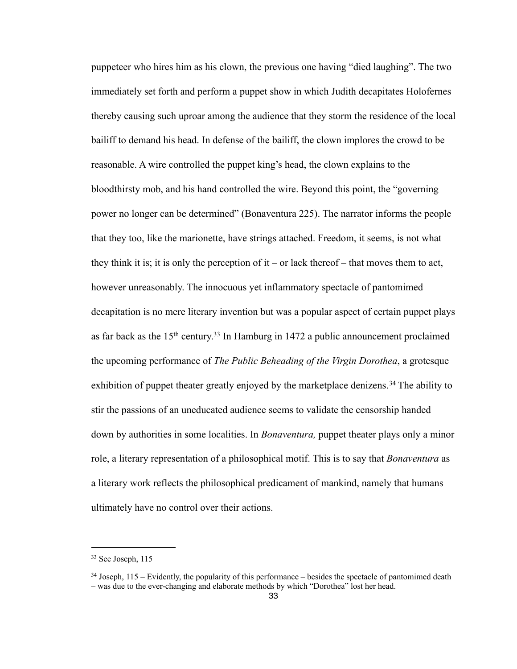puppeteer who hires him as his clown, the previous one having "died laughing". The two immediately set forth and perform a puppet show in which Judith decapitates Holofernes thereby causing such uproar among the audience that they storm the residence of the local bailiff to demand his head. In defense of the bailiff, the clown implores the crowd to be reasonable. A wire controlled the puppet king's head, the clown explains to the bloodthirsty mob, and his hand controlled the wire. Beyond this point, the "governing power no longer can be determined" (Bonaventura 225). The narrator informs the people that they too, like the marionette, have strings attached. Freedom, it seems, is not what they think it is; it is only the perception of it – or lack thereof – that moves them to act, however unreasonably. The innocuous yet inflammatory spectacle of pantomimed decapitation is no mere literary invention but was a popular aspect of certain puppet plays as far back as the  $15<sup>th</sup>$  century.<sup>33</sup> In Hamburg in 1472 a public announcement proclaimed the upcoming performance of *The Public Beheading of the Virgin Dorothea*, a grotesque exhibition of puppet theater greatly enjoyed by the marketplace denizens.<sup>[34](#page-37-1)</sup> The ability to stir the passions of an uneducated audience seems to validate the censorship handed down by authorities in some localities. In *Bonaventura,* puppet theater plays only a minor role, a literary representation of a philosophical motif. This is to say that *Bonaventura* as a literary work reflects the philosophical predicament of mankind, namely that humans ultimately have no control over their actions.

<span id="page-37-0"></span><sup>33</sup> See Joseph, 115

<span id="page-37-1"></span> $34$  Joseph,  $115$  – Evidently, the popularity of this performance – besides the spectacle of pantomimed death – was due to the ever-changing and elaborate methods by which "Dorothea" lost her head.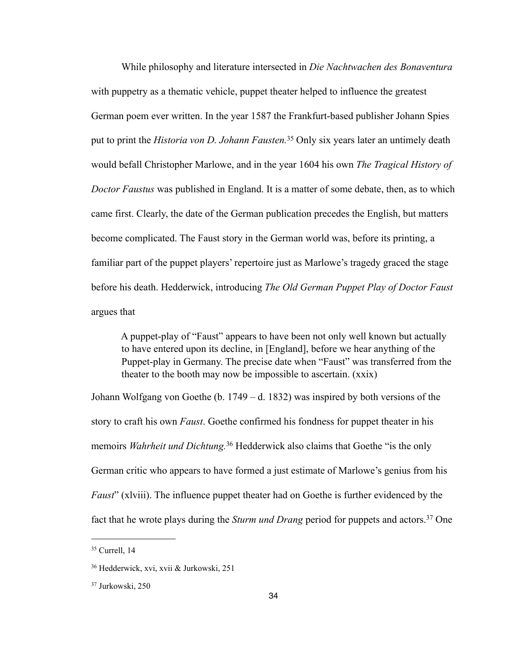While philosophy and literature intersected in *Die Nachtwachen des Bonaventura*  with puppetry as a thematic vehicle, puppet theater helped to influence the greatest German poem ever written. In the year 1587 the Frankfurt-based publisher Johann Spies put to print the *Historia von D. Johann Fausten.*[35](#page-38-0) Only six years later an untimely death would befall Christopher Marlowe, and in the year 1604 his own *The Tragical History of Doctor Faustus* was published in England. It is a matter of some debate, then, as to which came first. Clearly, the date of the German publication precedes the English, but matters become complicated. The Faust story in the German world was, before its printing, a familiar part of the puppet players' repertoire just as Marlowe's tragedy graced the stage before his death. Hedderwick, introducing *The Old German Puppet Play of Doctor Faust* argues that

 A puppet-play of "Faust" appears to have been not only well known but actually to have entered upon its decline, in [England], before we hear anything of the Puppet-play in Germany. The precise date when "Faust" was transferred from the theater to the booth may now be impossible to ascertain. (xxix)

Johann Wolfgang von Goethe (b. 1749 – d. 1832) was inspired by both versions of the story to craft his own *Faust*. Goethe confirmed his fondness for puppet theater in his memoirs *Wahrheit und Dichtung.*[36](#page-38-1) Hedderwick also claims that Goethe "is the only German critic who appears to have formed a just estimate of Marlowe's genius from his *Faust*" (xlviii). The influence puppet theater had on Goethe is further evidenced by the fact that he wrote plays during the *Sturm und Drang* period for puppets and actors.<sup>37</sup> One

<span id="page-38-0"></span><sup>35</sup> Currell, 14

<span id="page-38-1"></span><sup>36</sup> Hedderwick, xvi, xvii & Jurkowski, 251

<span id="page-38-2"></span><sup>37</sup> Jurkowski, 250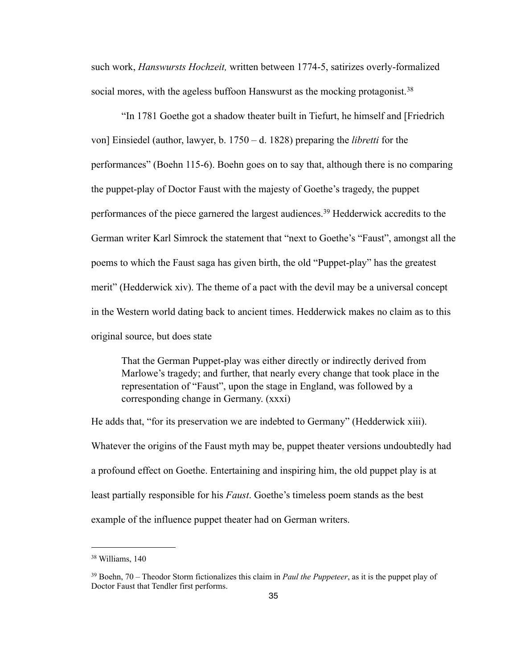such work, *Hanswursts Hochzeit,* written between 1774-5, satirizes overly-formalized social mores, with the ageless buffoon Hanswurst as the mocking protagonist.<sup>[38](#page-39-0)</sup>

 "In 1781 Goethe got a shadow theater built in Tiefurt, he himself and [Friedrich von] Einsiedel (author, lawyer, b. 1750 – d. 1828) preparing the *libretti* for the performances" (Boehn 115-6). Boehn goes on to say that, although there is no comparing the puppet-play of Doctor Faust with the majesty of Goethe's tragedy, the puppet performances of the piece garnered the largest audiences.[39](#page-39-1) Hedderwick accredits to the German writer Karl Simrock the statement that "next to Goethe's "Faust", amongst all the poems to which the Faust saga has given birth, the old "Puppet-play" has the greatest merit" (Hedderwick xiv). The theme of a pact with the devil may be a universal concept in the Western world dating back to ancient times. Hedderwick makes no claim as to this original source, but does state

That the German Puppet-play was either directly or indirectly derived from Marlowe's tragedy; and further, that nearly every change that took place in the representation of "Faust", upon the stage in England, was followed by a corresponding change in Germany. (xxxi)

He adds that, "for its preservation we are indebted to Germany" (Hedderwick xiii). Whatever the origins of the Faust myth may be, puppet theater versions undoubtedly had a profound effect on Goethe. Entertaining and inspiring him, the old puppet play is at least partially responsible for his *Faust*. Goethe's timeless poem stands as the best example of the influence puppet theater had on German writers.

<span id="page-39-0"></span><sup>38</sup> Williams, 140

<span id="page-39-1"></span><sup>39</sup> Boehn, 70 – Theodor Storm fictionalizes this claim in *Paul the Puppeteer*, as it is the puppet play of Doctor Faust that Tendler first performs.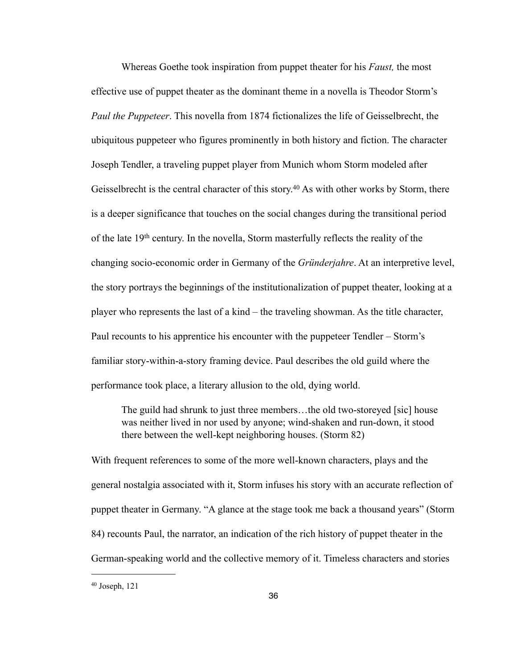Whereas Goethe took inspiration from puppet theater for his *Faust,* the most effective use of puppet theater as the dominant theme in a novella is Theodor Storm's *Paul the Puppeteer*. This novella from 1874 fictionalizes the life of Geisselbrecht, the ubiquitous puppeteer who figures prominently in both history and fiction. The character Joseph Tendler, a traveling puppet player from Munich whom Storm modeled after Geisselbrecht is the central character of this story.<sup>40</sup> As with other works by Storm, there is a deeper significance that touches on the social changes during the transitional period of the late 19th century. In the novella, Storm masterfully reflects the reality of the changing socio-economic order in Germany of the *Gründerjahre*. At an interpretive level, the story portrays the beginnings of the institutionalization of puppet theater, looking at a player who represents the last of a kind – the traveling showman. As the title character, Paul recounts to his apprentice his encounter with the puppeteer Tendler – Storm's familiar story-within-a-story framing device. Paul describes the old guild where the performance took place, a literary allusion to the old, dying world.

The guild had shrunk to just three members…the old two-storeyed [sic] house was neither lived in nor used by anyone; wind-shaken and run-down, it stood there between the well-kept neighboring houses. (Storm 82)

With frequent references to some of the more well-known characters, plays and the general nostalgia associated with it, Storm infuses his story with an accurate reflection of puppet theater in Germany. "A glance at the stage took me back a thousand years" (Storm 84) recounts Paul, the narrator, an indication of the rich history of puppet theater in the German-speaking world and the collective memory of it. Timeless characters and stories

<span id="page-40-0"></span><sup>40</sup> Joseph, 121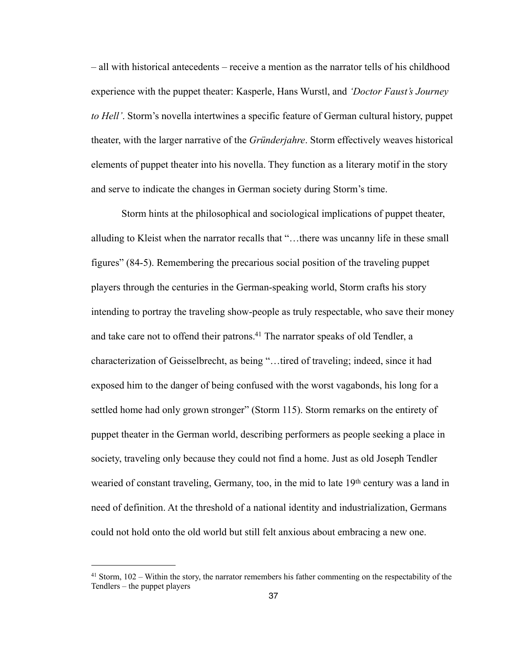– all with historical antecedents – receive a mention as the narrator tells of his childhood experience with the puppet theater: Kasperle, Hans Wurstl, and *'Doctor Faust's Journey to Hell'*. Storm's novella intertwines a specific feature of German cultural history, puppet theater, with the larger narrative of the *Gründerjahre*. Storm effectively weaves historical elements of puppet theater into his novella. They function as a literary motif in the story and serve to indicate the changes in German society during Storm's time.

 Storm hints at the philosophical and sociological implications of puppet theater, alluding to Kleist when the narrator recalls that "…there was uncanny life in these small figures" (84-5). Remembering the precarious social position of the traveling puppet players through the centuries in the German-speaking world, Storm crafts his story intending to portray the traveling show-people as truly respectable, who save their money and take care not to offend their patrons.<sup>41</sup> The narrator speaks of old Tendler, a characterization of Geisselbrecht, as being "…tired of traveling; indeed, since it had exposed him to the danger of being confused with the worst vagabonds, his long for a settled home had only grown stronger" (Storm 115). Storm remarks on the entirety of puppet theater in the German world, describing performers as people seeking a place in society, traveling only because they could not find a home. Just as old Joseph Tendler wearied of constant traveling, Germany, too, in the mid to late 19<sup>th</sup> century was a land in need of definition. At the threshold of a national identity and industrialization, Germans could not hold onto the old world but still felt anxious about embracing a new one.

<span id="page-41-0"></span><sup>41</sup> Storm, 102 – Within the story, the narrator remembers his father commenting on the respectability of the Tendlers – the puppet players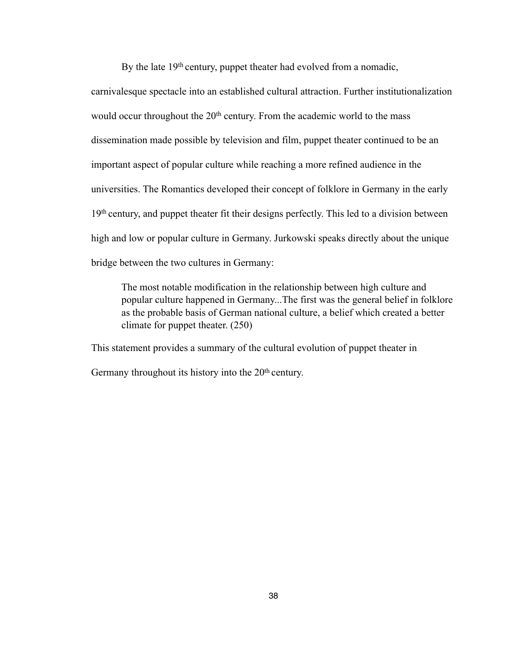By the late 19<sup>th</sup> century, puppet theater had evolved from a nomadic,

carnivalesque spectacle into an established cultural attraction. Further institutionalization would occur throughout the 20<sup>th</sup> century. From the academic world to the mass dissemination made possible by television and film, puppet theater continued to be an important aspect of popular culture while reaching a more refined audience in the universities. The Romantics developed their concept of folklore in Germany in the early 19th century, and puppet theater fit their designs perfectly. This led to a division between high and low or popular culture in Germany. Jurkowski speaks directly about the unique bridge between the two cultures in Germany:

The most notable modification in the relationship between high culture and popular culture happened in Germany...The first was the general belief in folklore as the probable basis of German national culture, a belief which created a better climate for puppet theater. (250)

This statement provides a summary of the cultural evolution of puppet theater in Germany throughout its history into the 20<sup>th</sup> century.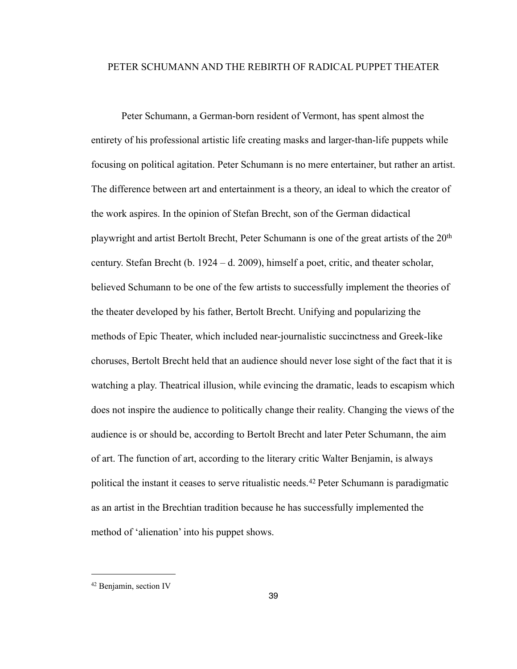## PETER SCHUMANN AND THE REBIRTH OF RADICAL PUPPET THEATER

Peter Schumann, a German-born resident of Vermont, has spent almost the entirety of his professional artistic life creating masks and larger-than-life puppets while focusing on political agitation. Peter Schumann is no mere entertainer, but rather an artist. The difference between art and entertainment is a theory, an ideal to which the creator of the work aspires. In the opinion of Stefan Brecht, son of the German didactical playwright and artist Bertolt Brecht, Peter Schumann is one of the great artists of the 20th century. Stefan Brecht (b. 1924 – d. 2009), himself a poet, critic, and theater scholar, believed Schumann to be one of the few artists to successfully implement the theories of the theater developed by his father, Bertolt Brecht. Unifying and popularizing the methods of Epic Theater, which included near-journalistic succinctness and Greek-like choruses, Bertolt Brecht held that an audience should never lose sight of the fact that it is watching a play. Theatrical illusion, while evincing the dramatic, leads to escapism which does not inspire the audience to politically change their reality. Changing the views of the audience is or should be, according to Bertolt Brecht and later Peter Schumann, the aim of art. The function of art, according to the literary critic Walter Benjamin, is always political the instant it ceases to serve ritualistic needs.[42](#page-43-0) Peter Schumann is paradigmatic as an artist in the Brechtian tradition because he has successfully implemented the method of 'alienation' into his puppet shows.

<span id="page-43-0"></span><sup>42</sup> Benjamin, section IV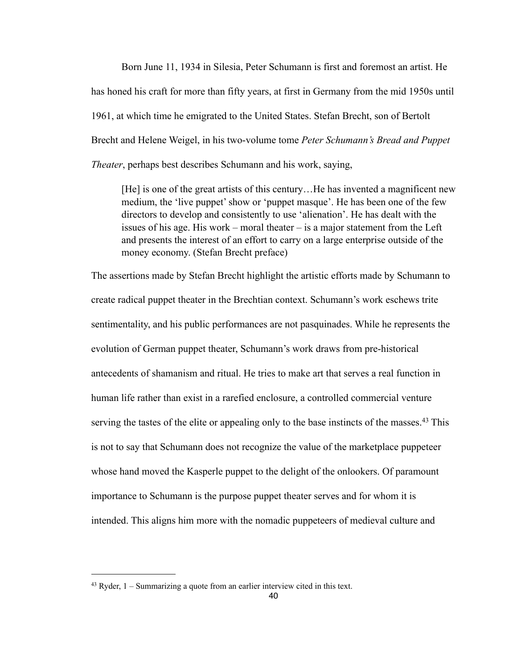Born June 11, 1934 in Silesia, Peter Schumann is first and foremost an artist. He has honed his craft for more than fifty years, at first in Germany from the mid 1950s until 1961, at which time he emigrated to the United States. Stefan Brecht, son of Bertolt Brecht and Helene Weigel, in his two-volume tome *Peter Schumann's Bread and Puppet Theater*, perhaps best describes Schumann and his work, saying,

[He] is one of the great artists of this century…He has invented a magnificent new medium, the 'live puppet' show or 'puppet masque'. He has been one of the few directors to develop and consistently to use 'alienation'. He has dealt with the issues of his age. His work – moral theater – is a major statement from the Left and presents the interest of an effort to carry on a large enterprise outside of the money economy. (Stefan Brecht preface)

The assertions made by Stefan Brecht highlight the artistic efforts made by Schumann to create radical puppet theater in the Brechtian context. Schumann's work eschews trite sentimentality, and his public performances are not pasquinades. While he represents the evolution of German puppet theater, Schumann's work draws from pre-historical antecedents of shamanism and ritual. He tries to make art that serves a real function in human life rather than exist in a rarefied enclosure, a controlled commercial venture serving the tastes of the elite or appealing only to the base instincts of the masses.<sup>43</sup> This is not to say that Schumann does not recognize the value of the marketplace puppeteer whose hand moved the Kasperle puppet to the delight of the onlookers. Of paramount importance to Schumann is the purpose puppet theater serves and for whom it is intended. This aligns him more with the nomadic puppeteers of medieval culture and

<span id="page-44-0"></span><sup>43</sup> Ryder, 1 – Summarizing a quote from an earlier interview cited in this text.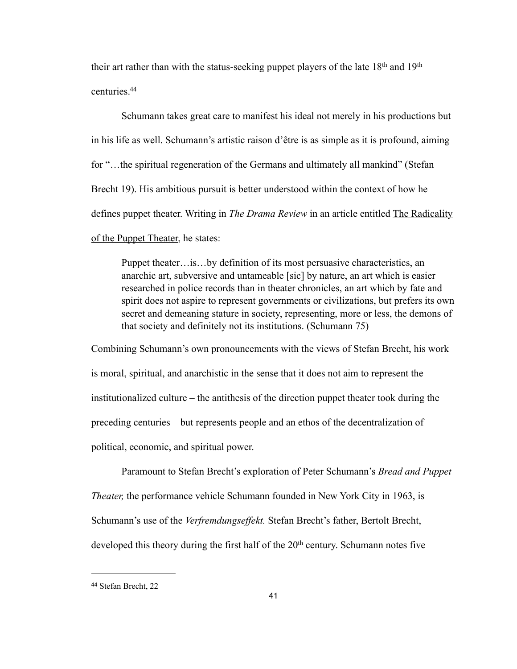their art rather than with the status-seeking puppet players of the late 18th and 19th centuries[.44](#page-45-0)

Schumann takes great care to manifest his ideal not merely in his productions but in his life as well. Schumann's artistic raison d'être is as simple as it is profound, aiming for "…the spiritual regeneration of the Germans and ultimately all mankind" (Stefan Brecht 19). His ambitious pursuit is better understood within the context of how he defines puppet theater. Writing in *The Drama Review* in an article entitled The Radicality of the Puppet Theater, he states:

Puppet theater…is…by definition of its most persuasive characteristics, an anarchic art, subversive and untameable [sic] by nature, an art which is easier researched in police records than in theater chronicles, an art which by fate and spirit does not aspire to represent governments or civilizations, but prefers its own secret and demeaning stature in society, representing, more or less, the demons of that society and definitely not its institutions. (Schumann 75)

Combining Schumann's own pronouncements with the views of Stefan Brecht, his work is moral, spiritual, and anarchistic in the sense that it does not aim to represent the institutionalized culture – the antithesis of the direction puppet theater took during the preceding centuries – but represents people and an ethos of the decentralization of political, economic, and spiritual power.

 Paramount to Stefan Brecht's exploration of Peter Schumann's *Bread and Puppet Theater,* the performance vehicle Schumann founded in New York City in 1963, is Schumann's use of the *Verfremdungseffekt.* Stefan Brecht's father, Bertolt Brecht, developed this theory during the first half of the  $20<sup>th</sup>$  century. Schumann notes five

<span id="page-45-0"></span><sup>44</sup> Stefan Brecht, 22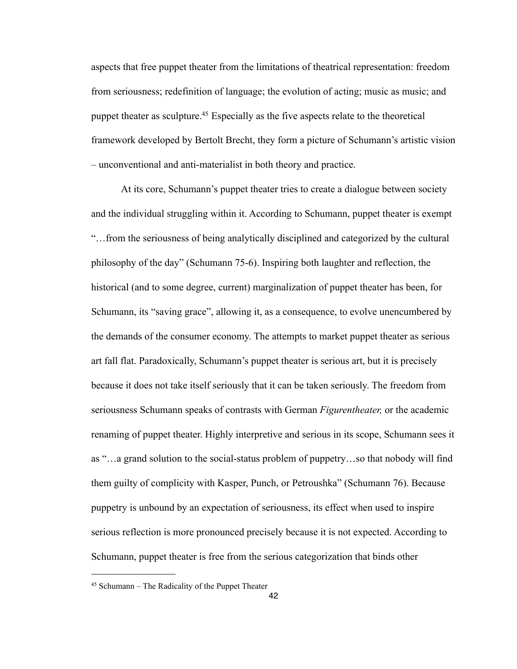aspects that free puppet theater from the limitations of theatrical representation: freedom from seriousness; redefinition of language; the evolution of acting; music as music; and puppet theater as sculpture.<sup>45</sup> Especially as the five aspects relate to the theoretical framework developed by Bertolt Brecht, they form a picture of Schumann's artistic vision – unconventional and anti-materialist in both theory and practice.

 At its core, Schumann's puppet theater tries to create a dialogue between society and the individual struggling within it. According to Schumann, puppet theater is exempt "…from the seriousness of being analytically disciplined and categorized by the cultural philosophy of the day" (Schumann 75-6). Inspiring both laughter and reflection, the historical (and to some degree, current) marginalization of puppet theater has been, for Schumann, its "saving grace", allowing it, as a consequence, to evolve unencumbered by the demands of the consumer economy. The attempts to market puppet theater as serious art fall flat. Paradoxically, Schumann's puppet theater is serious art, but it is precisely because it does not take itself seriously that it can be taken seriously. The freedom from seriousness Schumann speaks of contrasts with German *Figurentheater,* or the academic renaming of puppet theater. Highly interpretive and serious in its scope, Schumann sees it as "…a grand solution to the social-status problem of puppetry…so that nobody will find them guilty of complicity with Kasper, Punch, or Petroushka" (Schumann 76). Because puppetry is unbound by an expectation of seriousness, its effect when used to inspire serious reflection is more pronounced precisely because it is not expected. According to Schumann, puppet theater is free from the serious categorization that binds other

<span id="page-46-0"></span><sup>45</sup> Schumann – The Radicality of the Puppet Theater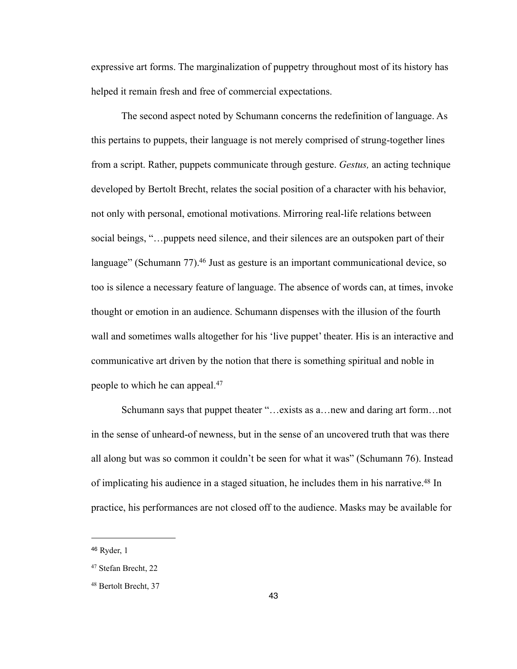expressive art forms. The marginalization of puppetry throughout most of its history has helped it remain fresh and free of commercial expectations.

 The second aspect noted by Schumann concerns the redefinition of language. As this pertains to puppets, their language is not merely comprised of strung-together lines from a script. Rather, puppets communicate through gesture. *Gestus,* an acting technique developed by Bertolt Brecht, relates the social position of a character with his behavior, not only with personal, emotional motivations. Mirroring real-life relations between social beings, "…puppets need silence, and their silences are an outspoken part of their language" (Schumann 77).<sup>46</sup> Just as gesture is an important communicational device, so too is silence a necessary feature of language. The absence of words can, at times, invoke thought or emotion in an audience. Schumann dispenses with the illusion of the fourth wall and sometimes walls altogether for his 'live puppet' theater. His is an interactive and communicative art driven by the notion that there is something spiritual and noble in people to which he can appeal.[47](#page-47-1)

Schumann says that puppet theater "…exists as a…new and daring art form…not in the sense of unheard-of newness, but in the sense of an uncovered truth that was there all along but was so common it couldn't be seen for what it was" (Schumann 76). Instead of implicating his audience in a staged situation, he includes them in his narrative.<sup>48</sup> In practice, his performances are not closed off to the audience. Masks may be available for

<span id="page-47-0"></span><sup>46</sup> Ryder, 1

<span id="page-47-1"></span><sup>47</sup> Stefan Brecht, 22

<span id="page-47-2"></span><sup>48</sup> Bertolt Brecht, 37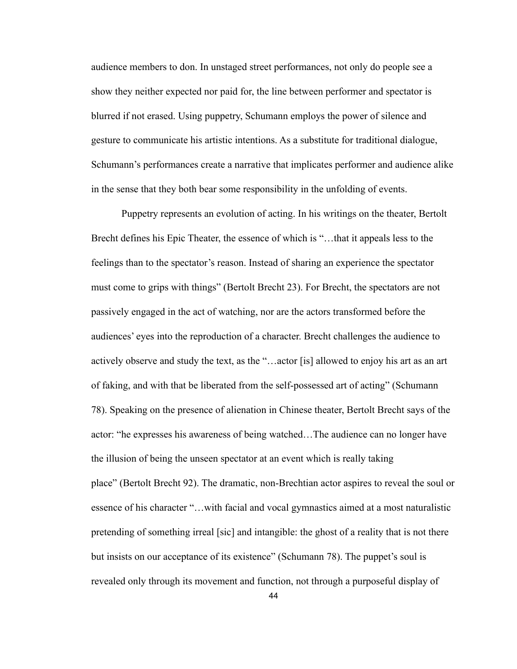audience members to don. In unstaged street performances, not only do people see a show they neither expected nor paid for, the line between performer and spectator is blurred if not erased. Using puppetry, Schumann employs the power of silence and gesture to communicate his artistic intentions. As a substitute for traditional dialogue, Schumann's performances create a narrative that implicates performer and audience alike in the sense that they both bear some responsibility in the unfolding of events.

 Puppetry represents an evolution of acting. In his writings on the theater, Bertolt Brecht defines his Epic Theater, the essence of which is "…that it appeals less to the feelings than to the spectator's reason. Instead of sharing an experience the spectator must come to grips with things" (Bertolt Brecht 23). For Brecht, the spectators are not passively engaged in the act of watching, nor are the actors transformed before the audiences' eyes into the reproduction of a character. Brecht challenges the audience to actively observe and study the text, as the "…actor [is] allowed to enjoy his art as an art of faking, and with that be liberated from the self-possessed art of acting" (Schumann 78). Speaking on the presence of alienation in Chinese theater, Bertolt Brecht says of the actor: "he expresses his awareness of being watched…The audience can no longer have the illusion of being the unseen spectator at an event which is really taking place" (Bertolt Brecht 92). The dramatic, non-Brechtian actor aspires to reveal the soul or essence of his character "…with facial and vocal gymnastics aimed at a most naturalistic pretending of something irreal [sic] and intangible: the ghost of a reality that is not there but insists on our acceptance of its existence" (Schumann 78). The puppet's soul is revealed only through its movement and function, not through a purposeful display of

44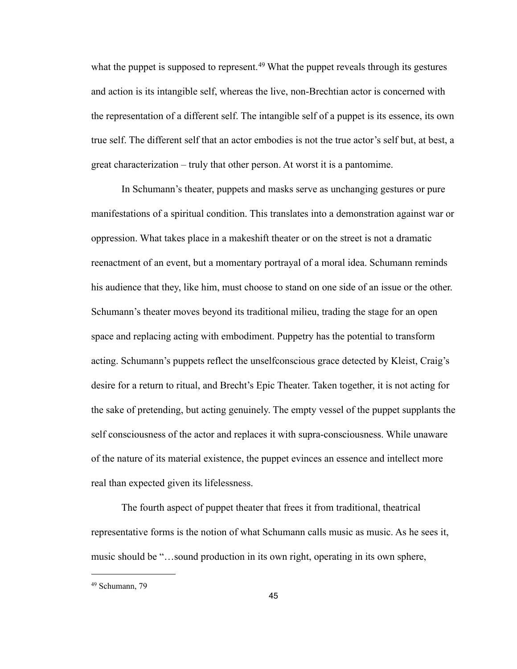what the puppet is supposed to represent.<sup>49</sup> What the puppet reveals through its gestures and action is its intangible self, whereas the live, non-Brechtian actor is concerned with the representation of a different self. The intangible self of a puppet is its essence, its own true self. The different self that an actor embodies is not the true actor's self but, at best, a great characterization – truly that other person. At worst it is a pantomime.

 In Schumann's theater, puppets and masks serve as unchanging gestures or pure manifestations of a spiritual condition. This translates into a demonstration against war or oppression. What takes place in a makeshift theater or on the street is not a dramatic reenactment of an event, but a momentary portrayal of a moral idea. Schumann reminds his audience that they, like him, must choose to stand on one side of an issue or the other. Schumann's theater moves beyond its traditional milieu, trading the stage for an open space and replacing acting with embodiment. Puppetry has the potential to transform acting. Schumann's puppets reflect the unselfconscious grace detected by Kleist, Craig's desire for a return to ritual, and Brecht's Epic Theater. Taken together, it is not acting for the sake of pretending, but acting genuinely. The empty vessel of the puppet supplants the self consciousness of the actor and replaces it with supra-consciousness. While unaware of the nature of its material existence, the puppet evinces an essence and intellect more real than expected given its lifelessness.

 The fourth aspect of puppet theater that frees it from traditional, theatrical representative forms is the notion of what Schumann calls music as music. As he sees it, music should be "…sound production in its own right, operating in its own sphere,

<span id="page-49-0"></span><sup>49</sup> Schumann, 79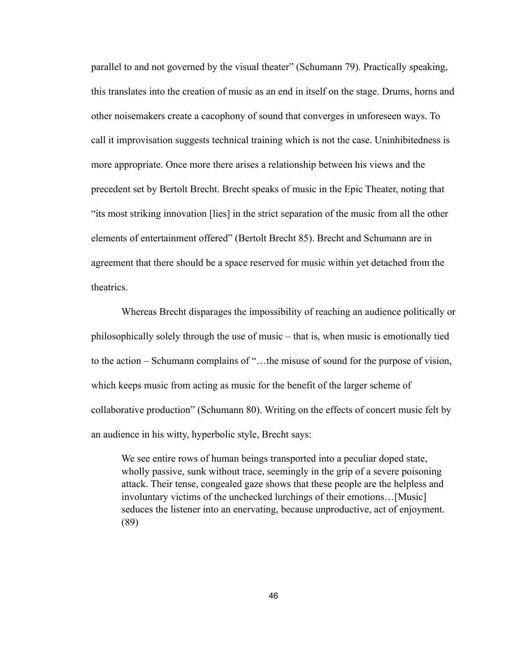parallel to and not governed by the visual theater" (Schumann 79). Practically speaking, this translates into the creation of music as an end in itself on the stage. Drums, horns and other noisemakers create a cacophony of sound that converges in unforeseen ways. To call it improvisation suggests technical training which is not the case. Uninhibitedness is more appropriate. Once more there arises a relationship between his views and the precedent set by Bertolt Brecht. Brecht speaks of music in the Epic Theater, noting that "its most striking innovation [lies] in the strict separation of the music from all the other elements of entertainment offered" (Bertolt Brecht 85). Brecht and Schumann are in agreement that there should be a space reserved for music within yet detached from the theatrics.

 Whereas Brecht disparages the impossibility of reaching an audience politically or philosophically solely through the use of music – that is, when music is emotionally tied to the action – Schumann complains of "…the misuse of sound for the purpose of vision, which keeps music from acting as music for the benefit of the larger scheme of collaborative production" (Schumann 80). Writing on the effects of concert music felt by an audience in his witty, hyperbolic style, Brecht says:

We see entire rows of human beings transported into a peculiar doped state, wholly passive, sunk without trace, seemingly in the grip of a severe poisoning attack. Their tense, congealed gaze shows that these people are the helpless and involuntary victims of the unchecked lurchings of their emotions…[Music] seduces the listener into an enervating, because unproductive, act of enjoyment. (89)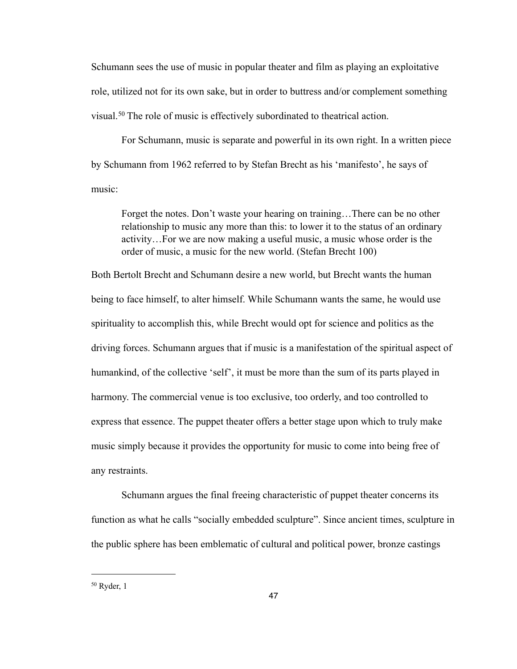Schumann sees the use of music in popular theater and film as playing an exploitative role, utilized not for its own sake, but in order to buttress and/or complement something visual.[50](#page-51-0) The role of music is effectively subordinated to theatrical action.

 For Schumann, music is separate and powerful in its own right. In a written piece by Schumann from 1962 referred to by Stefan Brecht as his 'manifesto', he says of music:

Forget the notes. Don't waste your hearing on training…There can be no other relationship to music any more than this: to lower it to the status of an ordinary activity…For we are now making a useful music, a music whose order is the order of music, a music for the new world. (Stefan Brecht 100)

Both Bertolt Brecht and Schumann desire a new world, but Brecht wants the human being to face himself, to alter himself. While Schumann wants the same, he would use spirituality to accomplish this, while Brecht would opt for science and politics as the driving forces. Schumann argues that if music is a manifestation of the spiritual aspect of humankind, of the collective 'self', it must be more than the sum of its parts played in harmony. The commercial venue is too exclusive, too orderly, and too controlled to express that essence. The puppet theater offers a better stage upon which to truly make music simply because it provides the opportunity for music to come into being free of any restraints.

 Schumann argues the final freeing characteristic of puppet theater concerns its function as what he calls "socially embedded sculpture". Since ancient times, sculpture in the public sphere has been emblematic of cultural and political power, bronze castings

<span id="page-51-0"></span><sup>50</sup> Ryder, 1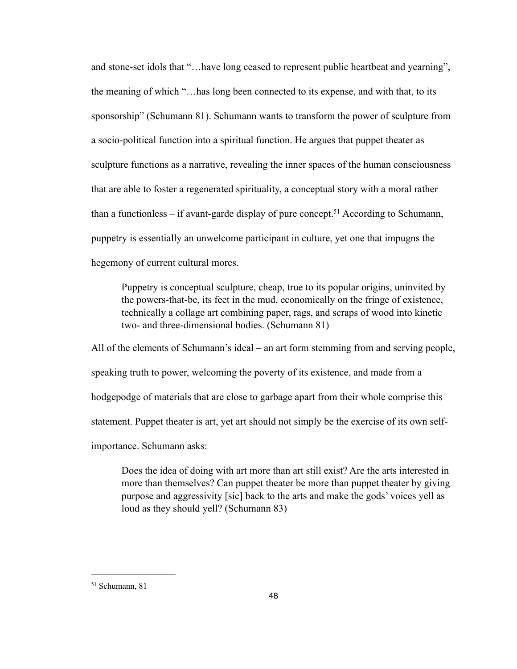and stone-set idols that "…have long ceased to represent public heartbeat and yearning", the meaning of which "…has long been connected to its expense, and with that, to its sponsorship" (Schumann 81). Schumann wants to transform the power of sculpture from a socio-political function into a spiritual function. He argues that puppet theater as sculpture functions as a narrative, revealing the inner spaces of the human consciousness that are able to foster a regenerated spirituality, a conceptual story with a moral rather than a functionless – if avant-garde display of pure concept.<sup>51</sup> According to Schumann, puppetry is essentially an unwelcome participant in culture, yet one that impugns the hegemony of current cultural mores.

Puppetry is conceptual sculpture, cheap, true to its popular origins, uninvited by the powers-that-be, its feet in the mud, economically on the fringe of existence, technically a collage art combining paper, rags, and scraps of wood into kinetic two- and three-dimensional bodies. (Schumann 81)

All of the elements of Schumann's ideal – an art form stemming from and serving people, speaking truth to power, welcoming the poverty of its existence, and made from a hodgepodge of materials that are close to garbage apart from their whole comprise this statement. Puppet theater is art, yet art should not simply be the exercise of its own selfimportance. Schumann asks:

Does the idea of doing with art more than art still exist? Are the arts interested in more than themselves? Can puppet theater be more than puppet theater by giving purpose and aggressivity [sic] back to the arts and make the gods' voices yell as loud as they should yell? (Schumann 83)

<span id="page-52-0"></span><sup>51</sup> Schumann, 81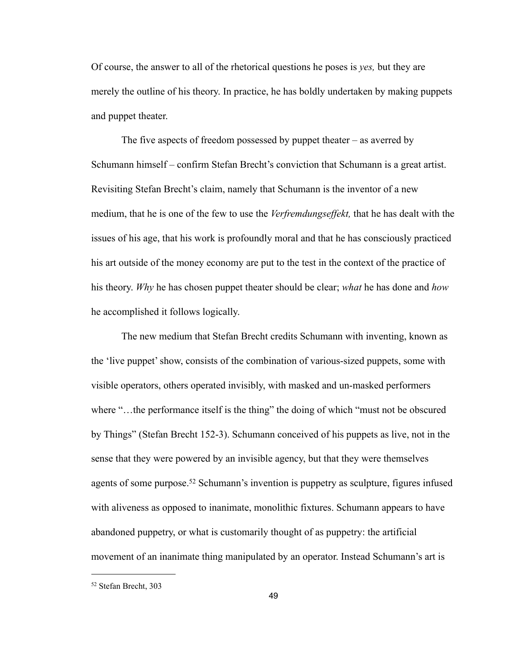Of course, the answer to all of the rhetorical questions he poses is *yes,* but they are merely the outline of his theory. In practice, he has boldly undertaken by making puppets and puppet theater.

The five aspects of freedom possessed by puppet theater  $-$  as averred by Schumann himself – confirm Stefan Brecht's conviction that Schumann is a great artist. Revisiting Stefan Brecht's claim, namely that Schumann is the inventor of a new medium, that he is one of the few to use the *Verfremdungseffekt,* that he has dealt with the issues of his age, that his work is profoundly moral and that he has consciously practiced his art outside of the money economy are put to the test in the context of the practice of his theory. *Why* he has chosen puppet theater should be clear; *what* he has done and *how*  he accomplished it follows logically.

 The new medium that Stefan Brecht credits Schumann with inventing, known as the 'live puppet' show, consists of the combination of various-sized puppets, some with visible operators, others operated invisibly, with masked and un-masked performers where "...the performance itself is the thing" the doing of which "must not be obscured by Things" (Stefan Brecht 152-3). Schumann conceived of his puppets as live, not in the sense that they were powered by an invisible agency, but that they were themselves agents of some purpose.<sup>52</sup> Schumann's invention is puppetry as sculpture, figures infused with aliveness as opposed to inanimate, monolithic fixtures. Schumann appears to have abandoned puppetry, or what is customarily thought of as puppetry: the artificial movement of an inanimate thing manipulated by an operator. Instead Schumann's art is

<span id="page-53-0"></span><sup>52</sup> Stefan Brecht, 303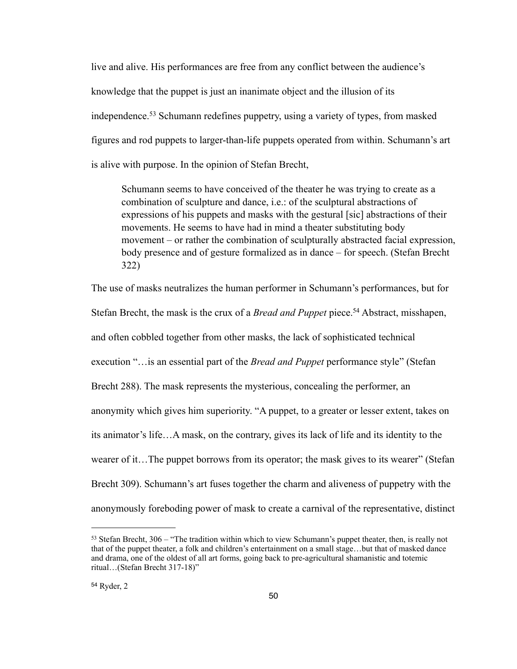live and alive. His performances are free from any conflict between the audience's knowledge that the puppet is just an inanimate object and the illusion of its independence.[53](#page-54-0) Schumann redefines puppetry, using a variety of types, from masked figures and rod puppets to larger-than-life puppets operated from within. Schumann's art is alive with purpose. In the opinion of Stefan Brecht,

Schumann seems to have conceived of the theater he was trying to create as a combination of sculpture and dance, i.e.: of the sculptural abstractions of expressions of his puppets and masks with the gestural [sic] abstractions of their movements. He seems to have had in mind a theater substituting body movement – or rather the combination of sculpturally abstracted facial expression, body presence and of gesture formalized as in dance – for speech. (Stefan Brecht 322)

The use of masks neutralizes the human performer in Schumann's performances, but for Stefan Brecht, the mask is the crux of a *Bread and Puppet* piece.<sup>54</sup> Abstract, misshapen, and often cobbled together from other masks, the lack of sophisticated technical execution "…is an essential part of the *Bread and Puppet* performance style" (Stefan Brecht 288). The mask represents the mysterious, concealing the performer, an anonymity which gives him superiority. "A puppet, to a greater or lesser extent, takes on its animator's life…A mask, on the contrary, gives its lack of life and its identity to the wearer of it... The puppet borrows from its operator; the mask gives to its wearer" (Stefan Brecht 309). Schumann's art fuses together the charm and aliveness of puppetry with the anonymously foreboding power of mask to create a carnival of the representative, distinct

<span id="page-54-1"></span><span id="page-54-0"></span> $53$  Stefan Brecht,  $306 -$  "The tradition within which to view Schumann's puppet theater, then, is really not that of the puppet theater, a folk and children's entertainment on a small stage…but that of masked dance and drama, one of the oldest of all art forms, going back to pre-agricultural shamanistic and totemic ritual…(Stefan Brecht 317-18)"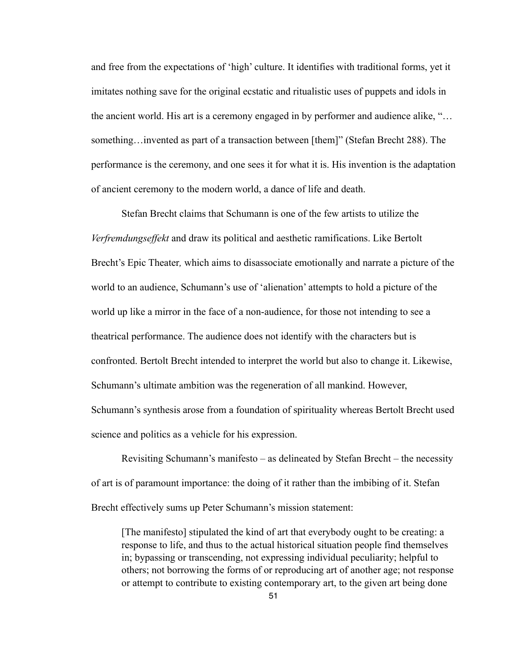and free from the expectations of 'high' culture. It identifies with traditional forms, yet it imitates nothing save for the original ecstatic and ritualistic uses of puppets and idols in the ancient world. His art is a ceremony engaged in by performer and audience alike, "… something…invented as part of a transaction between [them]" (Stefan Brecht 288). The performance is the ceremony, and one sees it for what it is. His invention is the adaptation of ancient ceremony to the modern world, a dance of life and death.

 Stefan Brecht claims that Schumann is one of the few artists to utilize the *Verfremdungseffekt* and draw its political and aesthetic ramifications. Like Bertolt Brecht's Epic Theater*,* which aims to disassociate emotionally and narrate a picture of the world to an audience, Schumann's use of 'alienation' attempts to hold a picture of the world up like a mirror in the face of a non-audience, for those not intending to see a theatrical performance. The audience does not identify with the characters but is confronted. Bertolt Brecht intended to interpret the world but also to change it. Likewise, Schumann's ultimate ambition was the regeneration of all mankind. However, Schumann's synthesis arose from a foundation of spirituality whereas Bertolt Brecht used science and politics as a vehicle for his expression.

 Revisiting Schumann's manifesto – as delineated by Stefan Brecht – the necessity of art is of paramount importance: the doing of it rather than the imbibing of it. Stefan Brecht effectively sums up Peter Schumann's mission statement:

[The manifesto] stipulated the kind of art that everybody ought to be creating: a response to life, and thus to the actual historical situation people find themselves in; bypassing or transcending, not expressing individual peculiarity; helpful to others; not borrowing the forms of or reproducing art of another age; not response or attempt to contribute to existing contemporary art, to the given art being done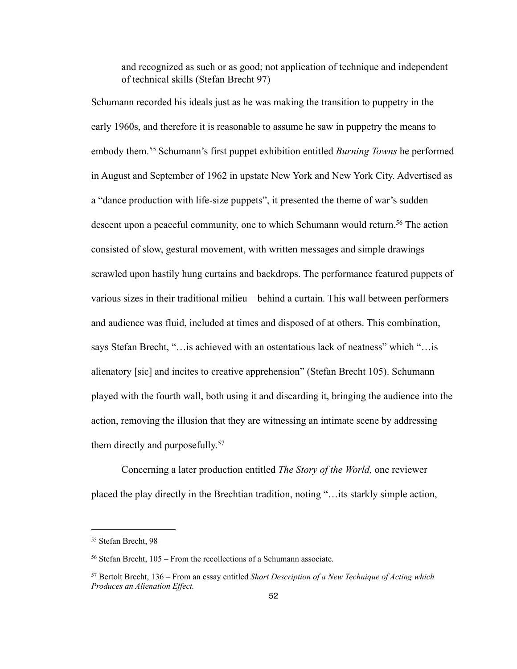and recognized as such or as good; not application of technique and independent of technical skills (Stefan Brecht 97)

Schumann recorded his ideals just as he was making the transition to puppetry in the early 1960s, and therefore it is reasonable to assume he saw in puppetry the means to embody them.[55](#page-56-0) Schumann's first puppet exhibition entitled *Burning Towns* he performed in August and September of 1962 in upstate New York and New York City. Advertised as a "dance production with life-size puppets", it presented the theme of war's sudden descent upon a peaceful community, one to which Schumann would return.<sup>56</sup> The action consisted of slow, gestural movement, with written messages and simple drawings scrawled upon hastily hung curtains and backdrops. The performance featured puppets of various sizes in their traditional milieu – behind a curtain. This wall between performers and audience was fluid, included at times and disposed of at others. This combination, says Stefan Brecht, "…is achieved with an ostentatious lack of neatness" which "…is alienatory [sic] and incites to creative apprehension" (Stefan Brecht 105). Schumann played with the fourth wall, both using it and discarding it, bringing the audience into the action, removing the illusion that they are witnessing an intimate scene by addressing them directly and purposefully.<sup>[57](#page-56-2)</sup>

 Concerning a later production entitled *The Story of the World,* one reviewer placed the play directly in the Brechtian tradition, noting "…its starkly simple action,

<span id="page-56-0"></span><sup>55</sup> Stefan Brecht, 98

<span id="page-56-1"></span><sup>56</sup> Stefan Brecht, 105 – From the recollections of a Schumann associate.

<span id="page-56-2"></span><sup>57</sup> Bertolt Brecht, 136 – From an essay entitled *Short Description of a New Technique of Acting which Produces an Alienation Effect.*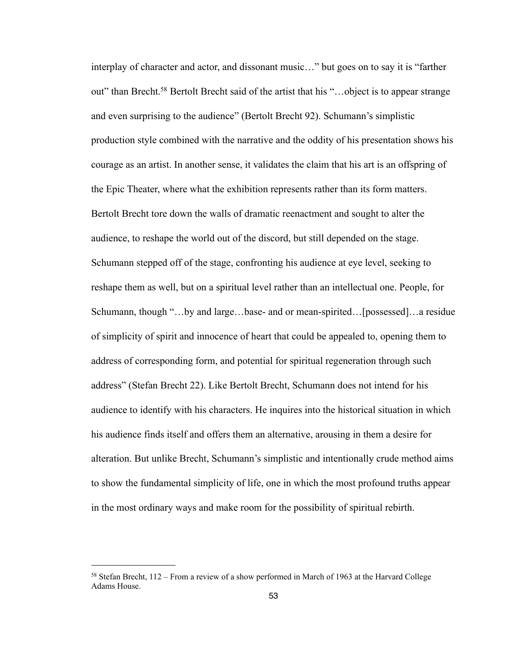interplay of character and actor, and dissonant music…" but goes on to say it is "farther out" than Brecht[.58](#page-57-0) Bertolt Brecht said of the artist that his "…object is to appear strange and even surprising to the audience" (Bertolt Brecht 92). Schumann's simplistic production style combined with the narrative and the oddity of his presentation shows his courage as an artist. In another sense, it validates the claim that his art is an offspring of the Epic Theater, where what the exhibition represents rather than its form matters. Bertolt Brecht tore down the walls of dramatic reenactment and sought to alter the audience, to reshape the world out of the discord, but still depended on the stage. Schumann stepped off of the stage, confronting his audience at eye level, seeking to reshape them as well, but on a spiritual level rather than an intellectual one. People, for Schumann, though "…by and large…base- and or mean-spirited…[possessed]…a residue of simplicity of spirit and innocence of heart that could be appealed to, opening them to address of corresponding form, and potential for spiritual regeneration through such address" (Stefan Brecht 22). Like Bertolt Brecht, Schumann does not intend for his audience to identify with his characters. He inquires into the historical situation in which his audience finds itself and offers them an alternative, arousing in them a desire for alteration. But unlike Brecht, Schumann's simplistic and intentionally crude method aims to show the fundamental simplicity of life, one in which the most profound truths appear in the most ordinary ways and make room for the possibility of spiritual rebirth.

<span id="page-57-0"></span><sup>58</sup> Stefan Brecht, 112 – From a review of a show performed in March of 1963 at the Harvard College Adams House.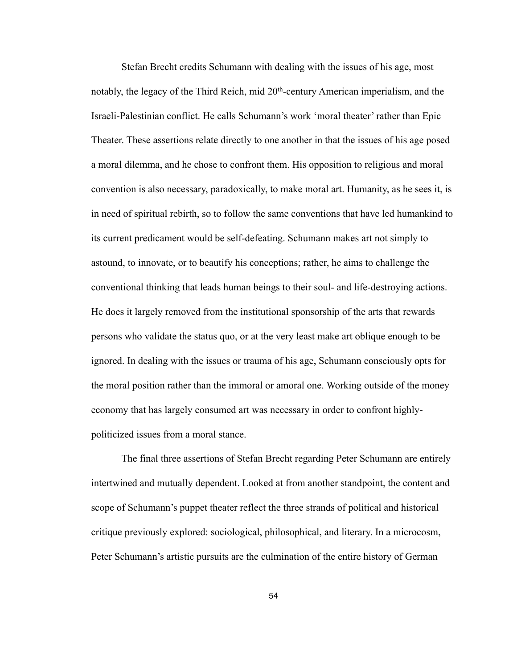Stefan Brecht credits Schumann with dealing with the issues of his age, most notably, the legacy of the Third Reich, mid 20th-century American imperialism, and the Israeli-Palestinian conflict. He calls Schumann's work 'moral theater' rather than Epic Theater. These assertions relate directly to one another in that the issues of his age posed a moral dilemma, and he chose to confront them. His opposition to religious and moral convention is also necessary, paradoxically, to make moral art. Humanity, as he sees it, is in need of spiritual rebirth, so to follow the same conventions that have led humankind to its current predicament would be self-defeating. Schumann makes art not simply to astound, to innovate, or to beautify his conceptions; rather, he aims to challenge the conventional thinking that leads human beings to their soul- and life-destroying actions. He does it largely removed from the institutional sponsorship of the arts that rewards persons who validate the status quo, or at the very least make art oblique enough to be ignored. In dealing with the issues or trauma of his age, Schumann consciously opts for the moral position rather than the immoral or amoral one. Working outside of the money economy that has largely consumed art was necessary in order to confront highlypoliticized issues from a moral stance.

 The final three assertions of Stefan Brecht regarding Peter Schumann are entirely intertwined and mutually dependent. Looked at from another standpoint, the content and scope of Schumann's puppet theater reflect the three strands of political and historical critique previously explored: sociological, philosophical, and literary. In a microcosm, Peter Schumann's artistic pursuits are the culmination of the entire history of German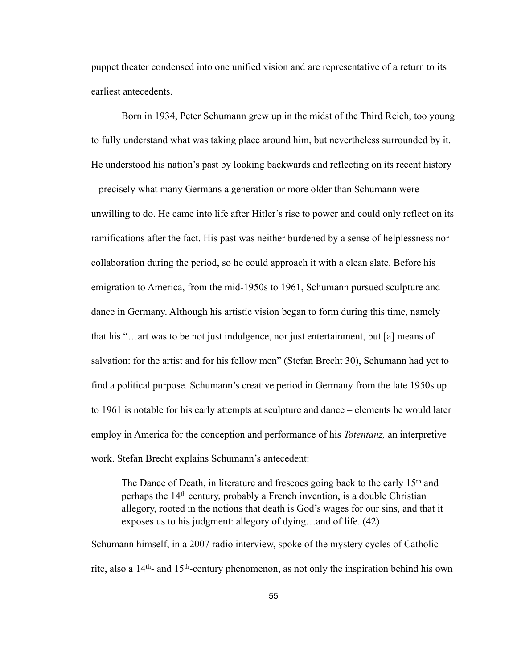puppet theater condensed into one unified vision and are representative of a return to its earliest antecedents.

 Born in 1934, Peter Schumann grew up in the midst of the Third Reich, too young to fully understand what was taking place around him, but nevertheless surrounded by it. He understood his nation's past by looking backwards and reflecting on its recent history – precisely what many Germans a generation or more older than Schumann were unwilling to do. He came into life after Hitler's rise to power and could only reflect on its ramifications after the fact. His past was neither burdened by a sense of helplessness nor collaboration during the period, so he could approach it with a clean slate. Before his emigration to America, from the mid-1950s to 1961, Schumann pursued sculpture and dance in Germany. Although his artistic vision began to form during this time, namely that his "…art was to be not just indulgence, nor just entertainment, but [a] means of salvation: for the artist and for his fellow men" (Stefan Brecht 30), Schumann had yet to find a political purpose. Schumann's creative period in Germany from the late 1950s up to 1961 is notable for his early attempts at sculpture and dance – elements he would later employ in America for the conception and performance of his *Totentanz,* an interpretive work. Stefan Brecht explains Schumann's antecedent:

The Dance of Death, in literature and frescoes going back to the early 15<sup>th</sup> and perhaps the 14th century, probably a French invention, is a double Christian allegory, rooted in the notions that death is God's wages for our sins, and that it exposes us to his judgment: allegory of dying…and of life. (42)

Schumann himself, in a 2007 radio interview, spoke of the mystery cycles of Catholic rite, also a 14th- and 15th-century phenomenon, as not only the inspiration behind his own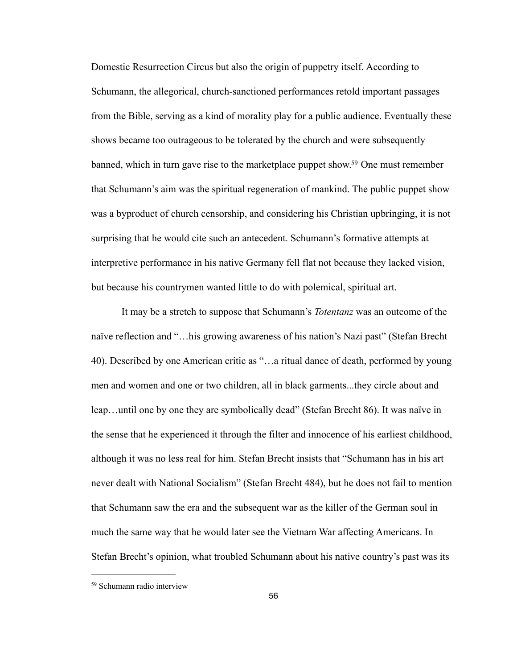Domestic Resurrection Circus but also the origin of puppetry itself. According to Schumann, the allegorical, church-sanctioned performances retold important passages from the Bible, serving as a kind of morality play for a public audience. Eventually these shows became too outrageous to be tolerated by the church and were subsequently banned, which in turn gave rise to the marketplace puppet show.<sup>59</sup> One must remember that Schumann's aim was the spiritual regeneration of mankind. The public puppet show was a byproduct of church censorship, and considering his Christian upbringing, it is not surprising that he would cite such an antecedent. Schumann's formative attempts at interpretive performance in his native Germany fell flat not because they lacked vision, but because his countrymen wanted little to do with polemical, spiritual art.

 It may be a stretch to suppose that Schumann's *Totentanz* was an outcome of the naïve reflection and "…his growing awareness of his nation's Nazi past" (Stefan Brecht 40). Described by one American critic as "…a ritual dance of death, performed by young men and women and one or two children, all in black garments...they circle about and leap…until one by one they are symbolically dead" (Stefan Brecht 86). It was naïve in the sense that he experienced it through the filter and innocence of his earliest childhood, although it was no less real for him. Stefan Brecht insists that "Schumann has in his art never dealt with National Socialism" (Stefan Brecht 484), but he does not fail to mention that Schumann saw the era and the subsequent war as the killer of the German soul in much the same way that he would later see the Vietnam War affecting Americans. In Stefan Brecht's opinion, what troubled Schumann about his native country's past was its

<span id="page-60-0"></span><sup>59</sup> Schumann radio interview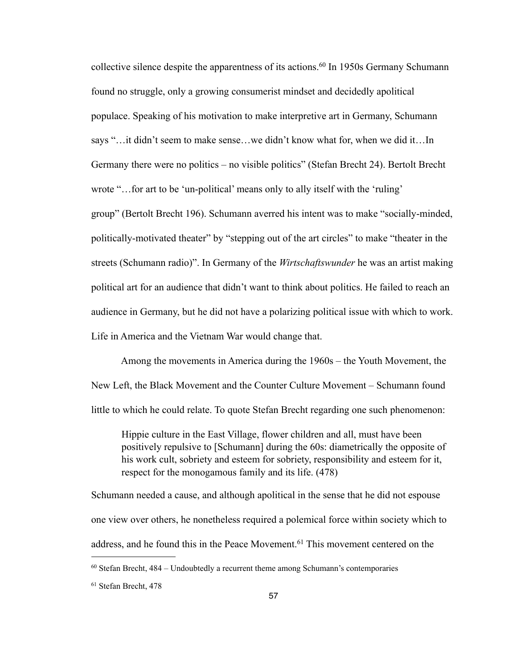collective silence despite the apparentness of its actions.<sup>60</sup> In 1950s Germany Schumann found no struggle, only a growing consumerist mindset and decidedly apolitical populace. Speaking of his motivation to make interpretive art in Germany, Schumann says "…it didn't seem to make sense…we didn't know what for, when we did it…In Germany there were no politics – no visible politics" (Stefan Brecht 24). Bertolt Brecht wrote "... for art to be 'un-political' means only to ally itself with the 'ruling' group" (Bertolt Brecht 196). Schumann averred his intent was to make "socially-minded, politically-motivated theater" by "stepping out of the art circles" to make "theater in the streets (Schumann radio)". In Germany of the *Wirtschaftswunder* he was an artist making political art for an audience that didn't want to think about politics. He failed to reach an audience in Germany, but he did not have a polarizing political issue with which to work. Life in America and the Vietnam War would change that.

 Among the movements in America during the 1960s – the Youth Movement, the New Left, the Black Movement and the Counter Culture Movement – Schumann found little to which he could relate. To quote Stefan Brecht regarding one such phenomenon:

Hippie culture in the East Village, flower children and all, must have been positively repulsive to [Schumann] during the 60s: diametrically the opposite of his work cult, sobriety and esteem for sobriety, responsibility and esteem for it, respect for the monogamous family and its life. (478)

Schumann needed a cause, and although apolitical in the sense that he did not espouse one view over others, he nonetheless required a polemical force within society which to address, and he found this in the Peace Movement.<sup>[61](#page-61-1)</sup> This movement centered on the

<span id="page-61-0"></span><sup>60</sup> Stefan Brecht, 484 – Undoubtedly a recurrent theme among Schumann's contemporaries

<span id="page-61-1"></span><sup>61</sup> Stefan Brecht, 478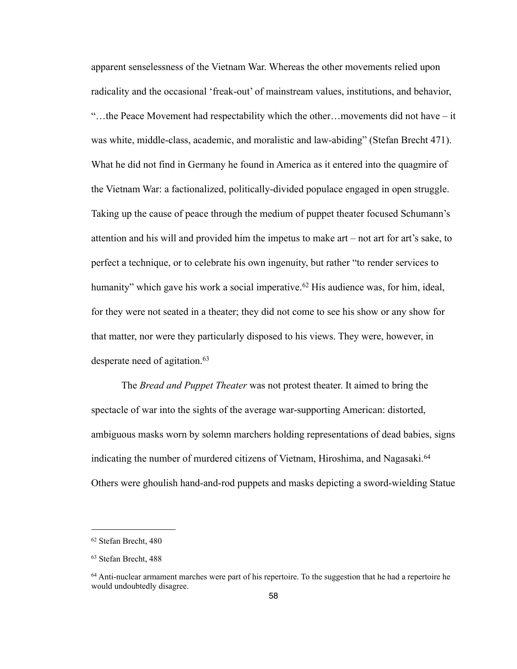apparent senselessness of the Vietnam War. Whereas the other movements relied upon radicality and the occasional 'freak-out' of mainstream values, institutions, and behavior, "…the Peace Movement had respectability which the other…movements did not have – it was white, middle-class, academic, and moralistic and law-abiding" (Stefan Brecht 471). What he did not find in Germany he found in America as it entered into the quagmire of the Vietnam War: a factionalized, politically-divided populace engaged in open struggle. Taking up the cause of peace through the medium of puppet theater focused Schumann's attention and his will and provided him the impetus to make art – not art for art's sake, to perfect a technique, or to celebrate his own ingenuity, but rather "to render services to humanity" which gave his work a social imperative.<sup>62</sup> His audience was, for him, ideal, for they were not seated in a theater; they did not come to see his show or any show for that matter, nor were they particularly disposed to his views. They were, however, in desperate need of agitation.[63](#page-62-1)

 The *Bread and Puppet Theater* was not protest theater. It aimed to bring the spectacle of war into the sights of the average war-supporting American: distorted, ambiguous masks worn by solemn marchers holding representations of dead babies, signs indicating the number of murdered citizens of Vietnam, Hiroshima, and Nagasaki.<sup>[64](#page-62-2)</sup> Others were ghoulish hand-and-rod puppets and masks depicting a sword-wielding Statue

<span id="page-62-0"></span><sup>62</sup> Stefan Brecht, 480

<span id="page-62-1"></span><sup>63</sup> Stefan Brecht, 488

<span id="page-62-2"></span><sup>64</sup> Anti-nuclear armament marches were part of his repertoire. To the suggestion that he had a repertoire he would undoubtedly disagree.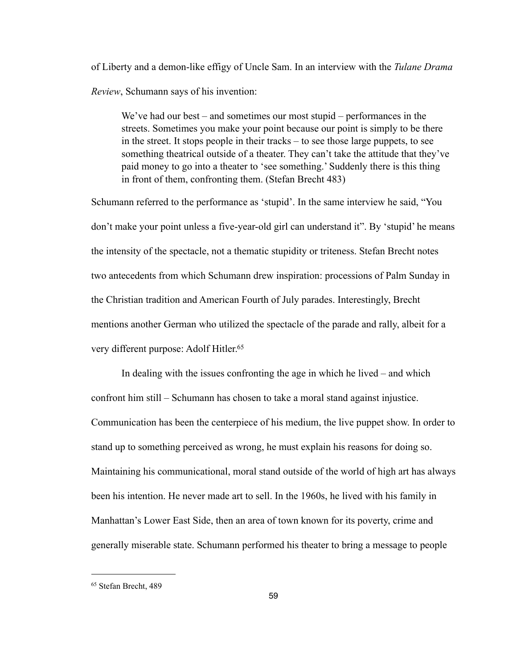of Liberty and a demon-like effigy of Uncle Sam. In an interview with the *Tulane Drama Review*, Schumann says of his invention:

We've had our best – and sometimes our most stupid – performances in the streets. Sometimes you make your point because our point is simply to be there in the street. It stops people in their tracks – to see those large puppets, to see something theatrical outside of a theater. They can't take the attitude that they've paid money to go into a theater to 'see something.' Suddenly there is this thing in front of them, confronting them. (Stefan Brecht 483)

Schumann referred to the performance as 'stupid'. In the same interview he said, "You don't make your point unless a five-year-old girl can understand it". By 'stupid' he means the intensity of the spectacle, not a thematic stupidity or triteness. Stefan Brecht notes two antecedents from which Schumann drew inspiration: processions of Palm Sunday in the Christian tradition and American Fourth of July parades. Interestingly, Brecht mentions another German who utilized the spectacle of the parade and rally, albeit for a very different purpose: Adolf Hitler.<sup>65</sup>

 In dealing with the issues confronting the age in which he lived – and which confront him still – Schumann has chosen to take a moral stand against injustice. Communication has been the centerpiece of his medium, the live puppet show. In order to stand up to something perceived as wrong, he must explain his reasons for doing so. Maintaining his communicational, moral stand outside of the world of high art has always been his intention. He never made art to sell. In the 1960s, he lived with his family in Manhattan's Lower East Side, then an area of town known for its poverty, crime and generally miserable state. Schumann performed his theater to bring a message to people

<span id="page-63-0"></span><sup>65</sup> Stefan Brecht, 489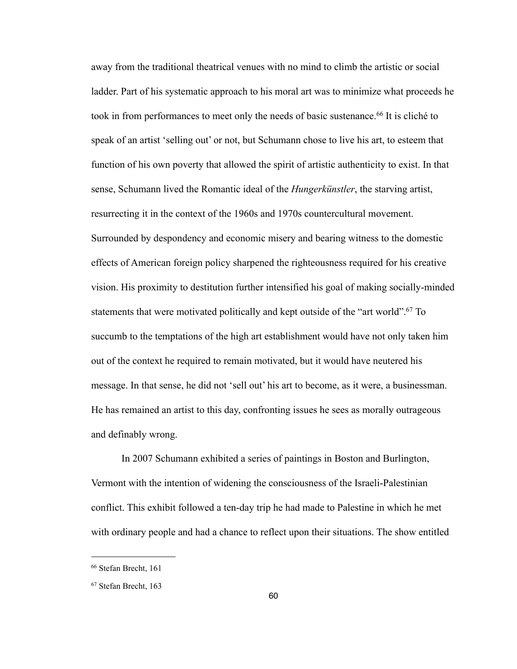away from the traditional theatrical venues with no mind to climb the artistic or social ladder. Part of his systematic approach to his moral art was to minimize what proceeds he took in from performances to meet only the needs of basic sustenance.<sup>66</sup> It is cliché to speak of an artist 'selling out' or not, but Schumann chose to live his art, to esteem that function of his own poverty that allowed the spirit of artistic authenticity to exist. In that sense, Schumann lived the Romantic ideal of the *Hungerkünstler*, the starving artist, resurrecting it in the context of the 1960s and 1970s countercultural movement. Surrounded by despondency and economic misery and bearing witness to the domestic effects of American foreign policy sharpened the righteousness required for his creative vision. His proximity to destitution further intensified his goal of making socially-minded statements that were motivated politically and kept outside of the "art world"[.67](#page-64-1) To succumb to the temptations of the high art establishment would have not only taken him out of the context he required to remain motivated, but it would have neutered his message. In that sense, he did not 'sell out' his art to become, as it were, a businessman. He has remained an artist to this day, confronting issues he sees as morally outrageous and definably wrong.

In 2007 Schumann exhibited a series of paintings in Boston and Burlington, Vermont with the intention of widening the consciousness of the Israeli-Palestinian conflict. This exhibit followed a ten-day trip he had made to Palestine in which he met with ordinary people and had a chance to reflect upon their situations. The show entitled

<span id="page-64-0"></span><sup>66</sup> Stefan Brecht, 161

<span id="page-64-1"></span><sup>67</sup> Stefan Brecht, 163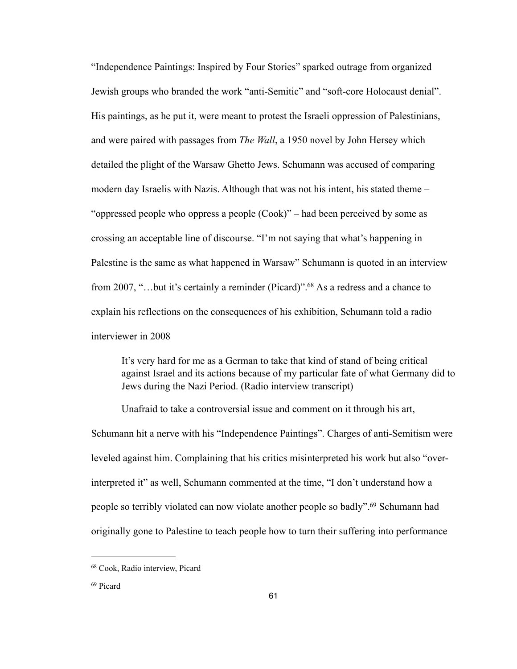"Independence Paintings: Inspired by Four Stories" sparked outrage from organized Jewish groups who branded the work "anti-Semitic" and "soft-core Holocaust denial". His paintings, as he put it, were meant to protest the Israeli oppression of Palestinians, and were paired with passages from *The Wall*, a 1950 novel by John Hersey which detailed the plight of the Warsaw Ghetto Jews. Schumann was accused of comparing modern day Israelis with Nazis. Although that was not his intent, his stated theme – "oppressed people who oppress a people (Cook)" – had been perceived by some as crossing an acceptable line of discourse. "I'm not saying that what's happening in Palestine is the same as what happened in Warsaw" Schumann is quoted in an interview from 2007, "...but it's certainly a reminder (Picard)".<sup>68</sup> As a redress and a chance to explain his reflections on the consequences of his exhibition, Schumann told a radio interviewer in 2008

It's very hard for me as a German to take that kind of stand of being critical against Israel and its actions because of my particular fate of what Germany did to Jews during the Nazi Period. (Radio interview transcript)

Unafraid to take a controversial issue and comment on it through his art, Schumann hit a nerve with his "Independence Paintings". Charges of anti-Semitism were leveled against him. Complaining that his critics misinterpreted his work but also "overinterpreted it" as well, Schumann commented at the time, "I don't understand how a people so terribly violated can now violate another people so badly"[.69](#page-65-1) Schumann had originally gone to Palestine to teach people how to turn their suffering into performance

<span id="page-65-0"></span><sup>68</sup> Cook, Radio interview, Picard

<span id="page-65-1"></span><sup>69</sup> Picard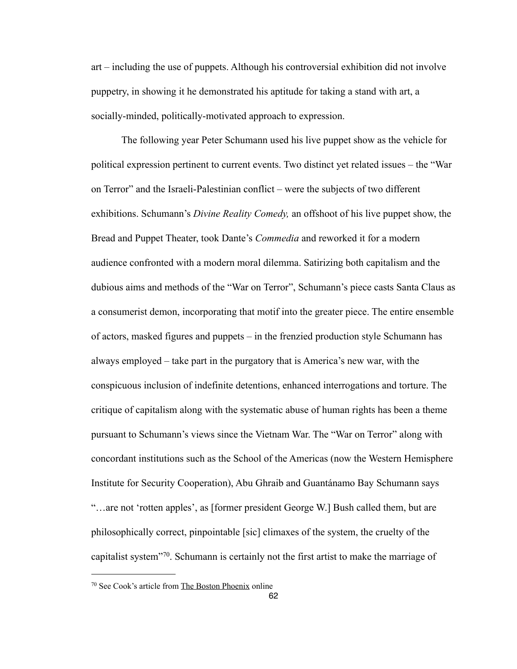art – including the use of puppets. Although his controversial exhibition did not involve puppetry, in showing it he demonstrated his aptitude for taking a stand with art, a socially-minded, politically-motivated approach to expression.

The following year Peter Schumann used his live puppet show as the vehicle for political expression pertinent to current events. Two distinct yet related issues – the "War on Terror" and the Israeli-Palestinian conflict – were the subjects of two different exhibitions. Schumann's *Divine Reality Comedy,* an offshoot of his live puppet show, the Bread and Puppet Theater, took Dante's *Commedia* and reworked it for a modern audience confronted with a modern moral dilemma. Satirizing both capitalism and the dubious aims and methods of the "War on Terror", Schumann's piece casts Santa Claus as a consumerist demon, incorporating that motif into the greater piece. The entire ensemble of actors, masked figures and puppets – in the frenzied production style Schumann has always employed – take part in the purgatory that is America's new war, with the conspicuous inclusion of indefinite detentions, enhanced interrogations and torture. The critique of capitalism along with the systematic abuse of human rights has been a theme pursuant to Schumann's views since the Vietnam War. The "War on Terror" along with concordant institutions such as the School of the Americas (now the Western Hemisphere Institute for Security Cooperation), Abu Ghraib and Guantánamo Bay Schumann says "…are not 'rotten apples', as [former president George W.] Bush called them, but are philosophically correct, pinpointable [sic] climaxes of the system, the cruelty of the capitalist system"[70.](#page-66-0) Schumann is certainly not the first artist to make the marriage of

<span id="page-66-0"></span><sup>70</sup> See Cook's article from The Boston Phoenix online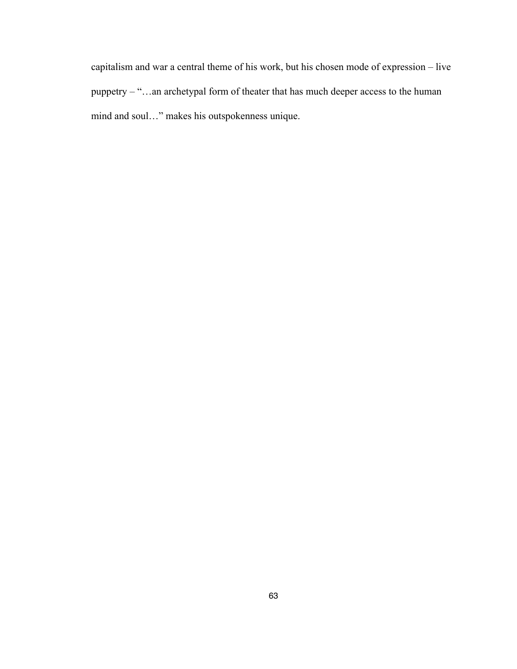capitalism and war a central theme of his work, but his chosen mode of expression – live puppetry – "…an archetypal form of theater that has much deeper access to the human mind and soul…" makes his outspokenness unique.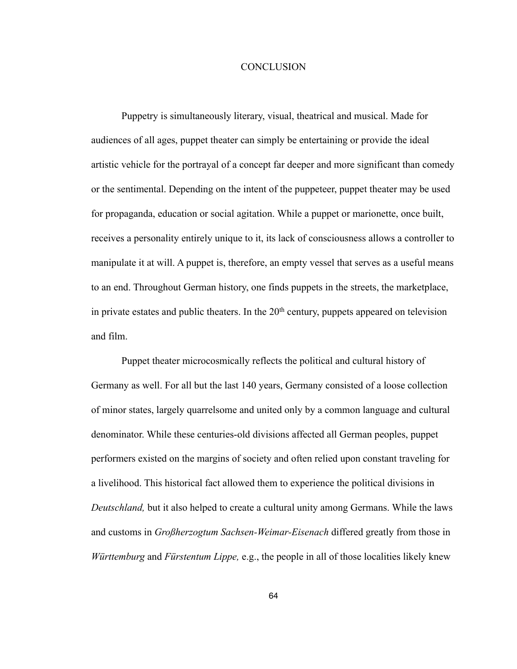## **CONCLUSION**

Puppetry is simultaneously literary, visual, theatrical and musical. Made for audiences of all ages, puppet theater can simply be entertaining or provide the ideal artistic vehicle for the portrayal of a concept far deeper and more significant than comedy or the sentimental. Depending on the intent of the puppeteer, puppet theater may be used for propaganda, education or social agitation. While a puppet or marionette, once built, receives a personality entirely unique to it, its lack of consciousness allows a controller to manipulate it at will. A puppet is, therefore, an empty vessel that serves as a useful means to an end. Throughout German history, one finds puppets in the streets, the marketplace, in private estates and public theaters. In the  $20<sup>th</sup>$  century, puppets appeared on television and film.

 Puppet theater microcosmically reflects the political and cultural history of Germany as well. For all but the last 140 years, Germany consisted of a loose collection of minor states, largely quarrelsome and united only by a common language and cultural denominator. While these centuries-old divisions affected all German peoples, puppet performers existed on the margins of society and often relied upon constant traveling for a livelihood. This historical fact allowed them to experience the political divisions in *Deutschland,* but it also helped to create a cultural unity among Germans. While the laws and customs in *Großherzogtum Sachsen-Weimar-Eisenach* differed greatly from those in *Württemburg* and *Fürstentum Lippe,* e.g., the people in all of those localities likely knew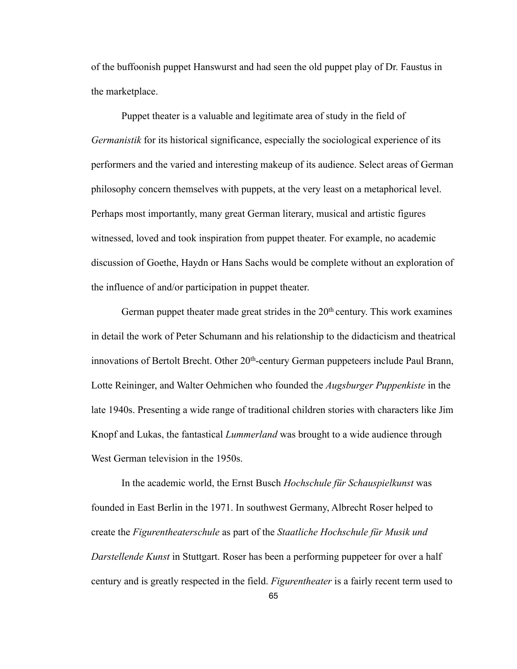of the buffoonish puppet Hanswurst and had seen the old puppet play of Dr. Faustus in the marketplace.

 Puppet theater is a valuable and legitimate area of study in the field of *Germanistik* for its historical significance, especially the sociological experience of its performers and the varied and interesting makeup of its audience. Select areas of German philosophy concern themselves with puppets, at the very least on a metaphorical level. Perhaps most importantly, many great German literary, musical and artistic figures witnessed, loved and took inspiration from puppet theater. For example, no academic discussion of Goethe, Haydn or Hans Sachs would be complete without an exploration of the influence of and/or participation in puppet theater.

German puppet theater made great strides in the  $20<sup>th</sup>$  century. This work examines in detail the work of Peter Schumann and his relationship to the didacticism and theatrical innovations of Bertolt Brecht. Other 20<sup>th</sup>-century German puppeteers include Paul Brann, Lotte Reininger, and Walter Oehmichen who founded the *Augsburger Puppenkiste* in the late 1940s. Presenting a wide range of traditional children stories with characters like Jim Knopf and Lukas, the fantastical *Lummerland* was brought to a wide audience through West German television in the 1950s.

 In the academic world, the Ernst Busch *Hochschule für Schauspielkunst* was founded in East Berlin in the 1971. In southwest Germany, Albrecht Roser helped to create the *Figurentheaterschule* as part of the *Staatliche Hochschule für Musik und Darstellende Kunst* in Stuttgart. Roser has been a performing puppeteer for over a half century and is greatly respected in the field. *Figurentheater* is a fairly recent term used to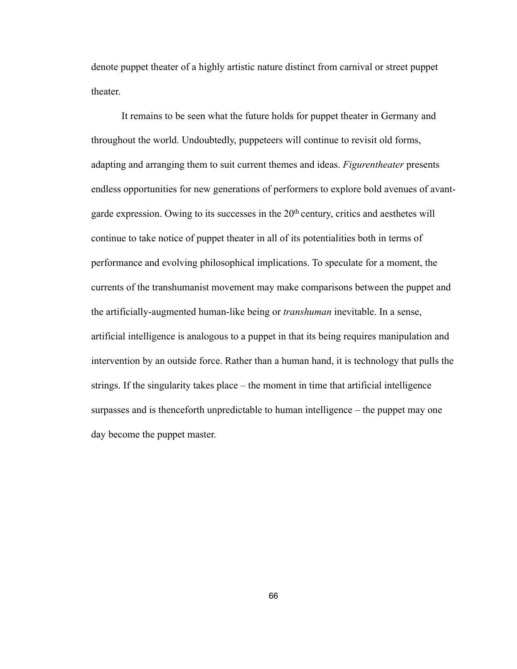denote puppet theater of a highly artistic nature distinct from carnival or street puppet theater.

 It remains to be seen what the future holds for puppet theater in Germany and throughout the world. Undoubtedly, puppeteers will continue to revisit old forms, adapting and arranging them to suit current themes and ideas. *Figurentheater* presents endless opportunities for new generations of performers to explore bold avenues of avantgarde expression. Owing to its successes in the 20th century, critics and aesthetes will continue to take notice of puppet theater in all of its potentialities both in terms of performance and evolving philosophical implications. To speculate for a moment, the currents of the transhumanist movement may make comparisons between the puppet and the artificially-augmented human-like being or *transhuman* inevitable. In a sense, artificial intelligence is analogous to a puppet in that its being requires manipulation and intervention by an outside force. Rather than a human hand, it is technology that pulls the strings. If the singularity takes place – the moment in time that artificial intelligence surpasses and is thenceforth unpredictable to human intelligence – the puppet may one day become the puppet master.

66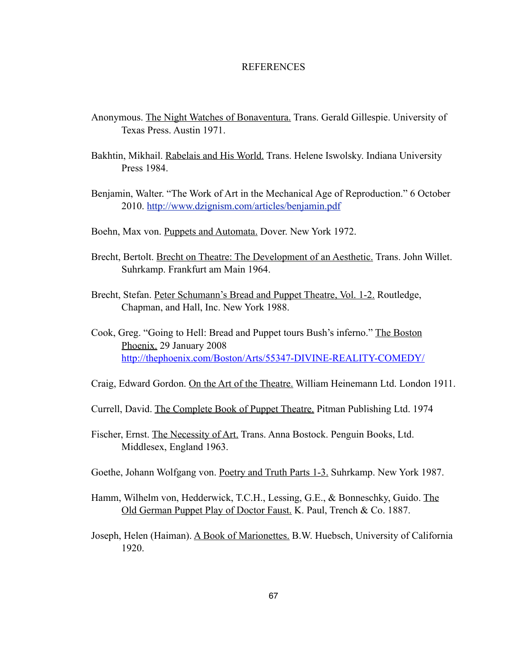## **REFERENCES**

- Anonymous. The Night Watches of Bonaventura. Trans. Gerald Gillespie. University of Texas Press. Austin 1971.
- Bakhtin, Mikhail. Rabelais and His World. Trans. Helene Iswolsky. Indiana University Press 1984.
- Benjamin, Walter. "The Work of Art in the Mechanical Age of Reproduction." 6 October 2010. <http://www.dzignism.com/articles/benjamin.pdf>
- Boehn, Max von. Puppets and Automata. Dover. New York 1972.
- Brecht, Bertolt. Brecht on Theatre: The Development of an Aesthetic. Trans. John Willet. Suhrkamp. Frankfurt am Main 1964.
- Brecht, Stefan. Peter Schumann's Bread and Puppet Theatre, Vol. 1-2. Routledge, Chapman, and Hall, Inc. New York 1988.
- Cook, Greg. "Going to Hell: Bread and Puppet tours Bush's inferno." The Boston Phoenix. 29 January 2008 <http://thephoenix.com/Boston/Arts/55347-DIVINE-REALITY-COMEDY/>
- Craig, Edward Gordon. On the Art of the Theatre. William Heinemann Ltd. London 1911.
- Currell, David. The Complete Book of Puppet Theatre. Pitman Publishing Ltd. 1974
- Fischer, Ernst. The Necessity of Art. Trans. Anna Bostock. Penguin Books, Ltd. Middlesex, England 1963.
- Goethe, Johann Wolfgang von. Poetry and Truth Parts 1-3. Suhrkamp. New York 1987.
- Hamm, Wilhelm von, Hedderwick, T.C.H., Lessing, G.E., & Bonneschky, Guido. The Old German Puppet Play of Doctor Faust. K. Paul, Trench & Co. 1887.
- Joseph, Helen (Haiman). A Book of Marionettes. B.W. Huebsch, University of California 1920.